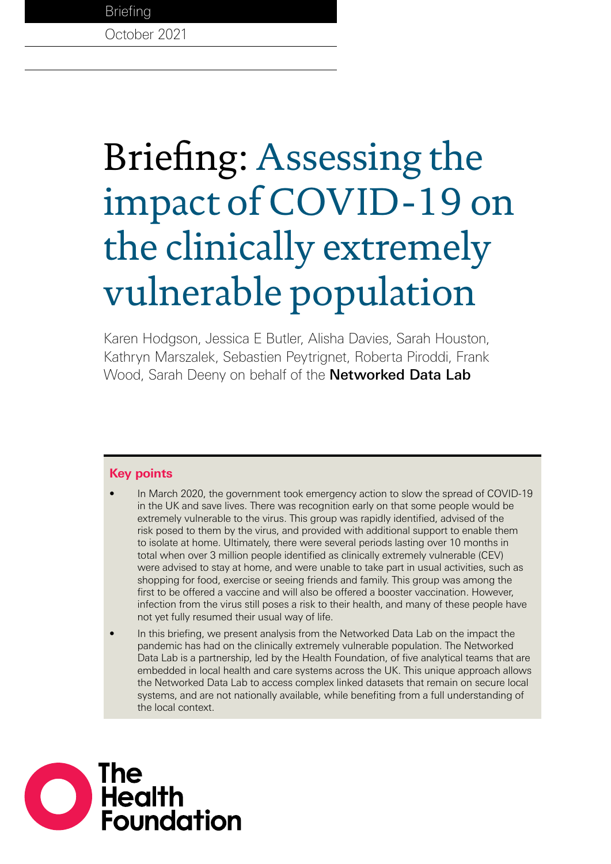**Briefing** 

October 2021

# Briefing: Assessing the impact of COVID-19 on the clinically extremely vulnerable population

Karen Hodgson, Jessica E Butler, Alisha Davies, Sarah Houston, Kathryn Marszalek, Sebastien Peytrignet, Roberta Piroddi, Frank Wood, Sarah Deeny on behalf of the **[Networked Data Lab](#page-26-0)** 

# **Key points**

- In March 2020, the government took emergency action to slow the spread of COVID-19 in the UK and save lives. There was recognition early on that some people would be extremely vulnerable to the virus. This group was rapidly identified, advised of the risk posed to them by the virus, and provided with additional support to enable them to isolate at home. Ultimately, there were several periods lasting over 10 months in total when over 3 million people identified as clinically extremely vulnerable (CEV) were advised to stay at home, and were unable to take part in usual activities, such as shopping for food, exercise or seeing friends and family. This group was among the first to be offered a vaccine and will also be offered a booster vaccination. However, infection from the virus still poses a risk to their health, and many of these people have not yet fully resumed their usual way of life.
- In this briefing, we present analysis from the Networked Data Lab on the impact the pandemic has had on the clinically extremely vulnerable population. The Networked Data Lab is a partnership, led by the Health Foundation, of five analytical teams that are embedded in local health and care systems across the UK. This unique approach allows the Networked Data Lab to access complex linked datasets that remain on secure local systems, and are not nationally available, while benefiting from a full understanding of the local context.

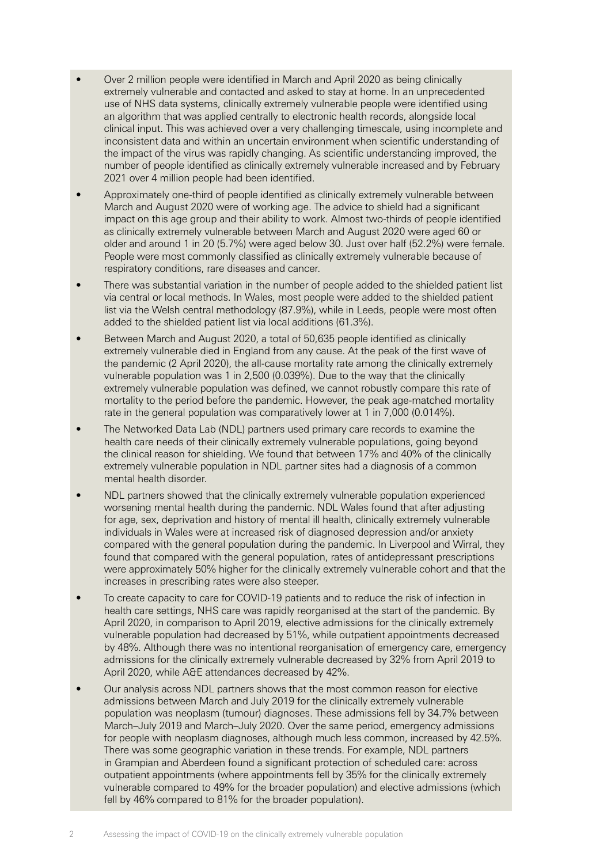- Over 2 million people were identified in March and April 2020 as being clinically extremely vulnerable and contacted and asked to stay at home. In an unprecedented use of NHS data systems, clinically extremely vulnerable people were identified using an algorithm that was applied centrally to electronic health records, alongside local clinical input. This was achieved over a very challenging timescale, using incomplete and inconsistent data and within an uncertain environment when scientific understanding of the impact of the virus was rapidly changing. As scientific understanding improved, the number of people identified as clinically extremely vulnerable increased and by February 2021 over 4 million people had been identified.
- Approximately one-third of people identified as clinically extremely vulnerable between March and August 2020 were of working age. The advice to shield had a significant impact on this age group and their ability to work. Almost two-thirds of people identified as clinically extremely vulnerable between March and August 2020 were aged 60 or older and around 1 in 20 (5.7%) were aged below 30. Just over half (52.2%) were female. People were most commonly classified as clinically extremely vulnerable because of respiratory conditions, rare diseases and cancer.
- There was substantial variation in the number of people added to the shielded patient list via central or local methods. In Wales, most people were added to the shielded patient list via the Welsh central methodology (87.9%), while in Leeds, people were most often added to the shielded patient list via local additions (61.3%).
- Between March and August 2020, a total of 50,635 people identified as clinically extremely vulnerable died in England from any cause. At the peak of the first wave of the pandemic (2 April 2020), the all-cause mortality rate among the clinically extremely vulnerable population was 1 in 2,500 (0.039%). Due to the way that the clinically extremely vulnerable population was defined, we cannot robustly compare this rate of mortality to the period before the pandemic. However, the peak age-matched mortality rate in the general population was comparatively lower at 1 in 7,000 (0.014%).
- The Networked Data Lab (NDL) partners used primary care records to examine the health care needs of their clinically extremely vulnerable populations, going beyond the clinical reason for shielding. We found that between 17% and 40% of the clinically extremely vulnerable population in NDL partner sites had a diagnosis of a common mental health disorder.
- NDL partners showed that the clinically extremely vulnerable population experienced worsening mental health during the pandemic. NDL Wales found that after adjusting for age, sex, deprivation and history of mental ill health, clinically extremely vulnerable individuals in Wales were at increased risk of diagnosed depression and/or anxiety compared with the general population during the pandemic. In Liverpool and Wirral, they found that compared with the general population, rates of antidepressant prescriptions were approximately 50% higher for the clinically extremely vulnerable cohort and that the increases in prescribing rates were also steeper.
- To create capacity to care for COVID-19 patients and to reduce the risk of infection in health care settings, NHS care was rapidly reorganised at the start of the pandemic. By April 2020, in comparison to April 2019, elective admissions for the clinically extremely vulnerable population had decreased by 51%, while outpatient appointments decreased by 48%. Although there was no intentional reorganisation of emergency care, emergency admissions for the clinically extremely vulnerable decreased by 32% from April 2019 to April 2020, while A&E attendances decreased by 42%.
- Our analysis across NDL partners shows that the most common reason for elective admissions between March and July 2019 for the clinically extremely vulnerable population was neoplasm (tumour) diagnoses. These admissions fell by 34.7% between March–July 2019 and March–July 2020. Over the same period, emergency admissions for people with neoplasm diagnoses, although much less common, increased by 42.5%. There was some geographic variation in these trends. For example, NDL partners in Grampian and Aberdeen found a significant protection of scheduled care: across outpatient appointments (where appointments fell by 35% for the clinically extremely vulnerable compared to 49% for the broader population) and elective admissions (which fell by 46% compared to 81% for the broader population).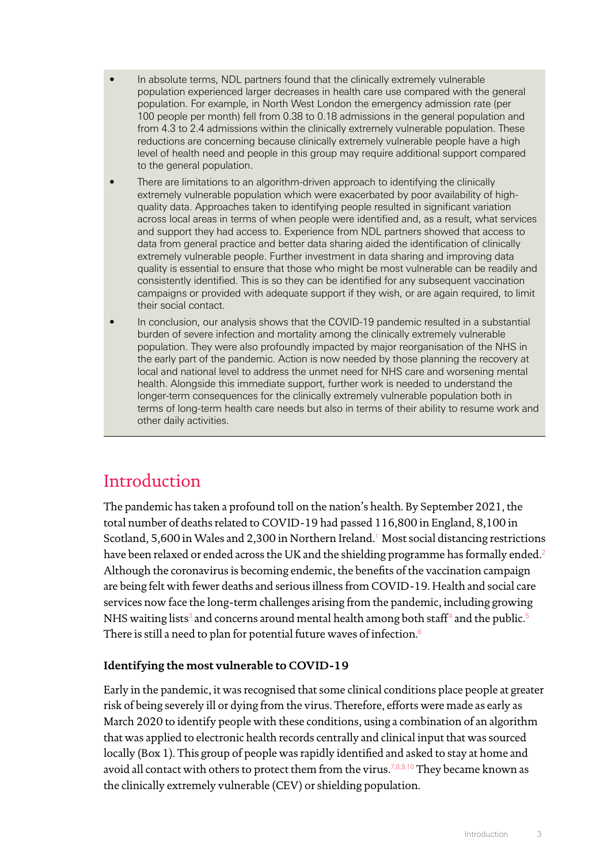- In absolute terms, NDL partners found that the clinically extremely vulnerable population experienced larger decreases in health care use compared with the general population. For example, in North West London the emergency admission rate (per 100 people per month) fell from 0.38 to 0.18 admissions in the general population and from 4.3 to 2.4 admissions within the clinically extremely vulnerable population. These reductions are concerning because clinically extremely vulnerable people have a high level of health need and people in this group may require additional support compared to the general population.
- There are limitations to an algorithm-driven approach to identifying the clinically extremely vulnerable population which were exacerbated by poor availability of highquality data. Approaches taken to identifying people resulted in significant variation across local areas in terms of when people were identified and, as a result, what services and support they had access to. Experience from NDL partners showed that access to data from general practice and better data sharing aided the identification of clinically extremely vulnerable people. Further investment in data sharing and improving data quality is essential to ensure that those who might be most vulnerable can be readily and consistently identified. This is so they can be identified for any subsequent vaccination campaigns or provided with adequate support if they wish, or are again required, to limit their social contact.
- In conclusion, our analysis shows that the COVID-19 pandemic resulted in a substantial burden of severe infection and mortality among the clinically extremely vulnerable population. They were also profoundly impacted by major reorganisation of the NHS in the early part of the pandemic. Action is now needed by those planning the recovery at local and national level to address the unmet need for NHS care and worsening mental health. Alongside this immediate support, further work is needed to understand the longer-term consequences for the clinically extremely vulnerable population both in terms of long-term health care needs but also in terms of their ability to resume work and other daily activities.

# Introduction

The pandemic has taken a profound toll on the nation's health. By September 2021, the total number of deaths related to COVID-19 had passed 116,800 in England, 8,100 in Scotland, 5,600 in Wales and 2,300 in Northern Ireland.<sup>[1](#page-27-0)</sup> Most social distancing restrictions have been relaxed or ended across the UK and the shielding programme has formally ended.<sup>[2](#page-27-1)</sup> Although the coronavirus is becoming endemic, the benefits of the vaccination campaign are being felt with fewer deaths and serious illness from COVID-19. Health and social care services now face the long-term challenges arising from the pandemic, including growing NHS waiting lists $^{\rm 3}$  $^{\rm 3}$  $^{\rm 3}$  and concerns around mental health among both staff $^{\rm 4}$  $^{\rm 4}$  $^{\rm 4}$  and the public. $^{\rm 5}$  $^{\rm 5}$  $^{\rm 5}$ There is still a need to plan for potential future waves of infection.<sup>[6](#page-27-5)</sup>

# **Identifying the most vulnerable to COVID-19**

Early in the pandemic, it was recognised that some clinical conditions place people at greater risk of being severely ill or dying from the virus. Therefore, efforts were made as early as March 2020 to identify people with these conditions, using a combination of an algorithm that was applied to electronic health records centrally and clinical input that was sourced locally (Box 1). This group of people was rapidly identified and asked to stay at home and avoid all contact with others to protect them from the virus.<sup>[7](#page-27-6)[,8,](#page-27-7)[9,](#page-27-8)[10](#page-27-9)</sup> They became known as the clinically extremely vulnerable (CEV) or shielding population.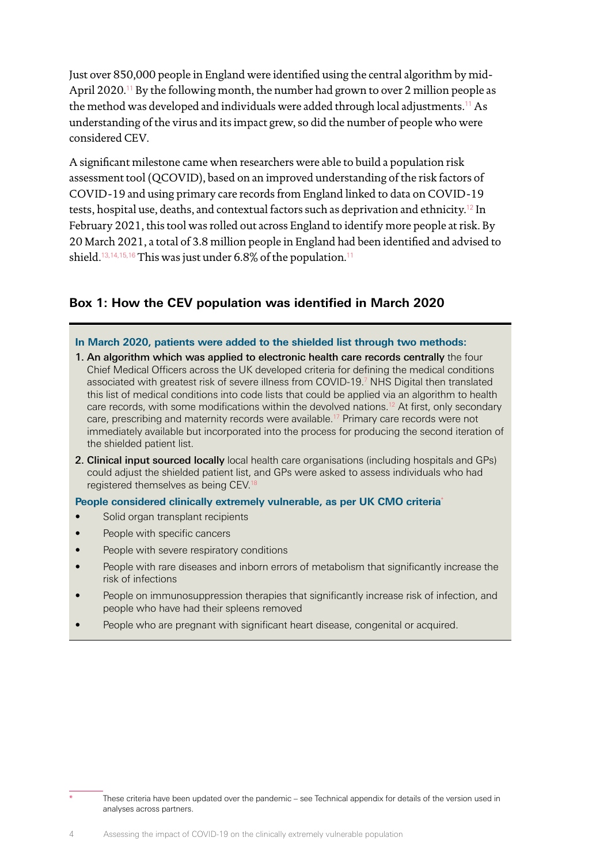Just over 850,000 people in England were identified using the central algorithm by mid-April 2020.<sup>[11](#page-27-10)</sup> By the following month, the number had grown to over 2 million people as the method was developed and individuals were added through local adjustments.<sup>[11](#page-27-10)</sup> As understanding of the virus and its impact grew, so did the number of people who were considered CEV.

A significant milestone came when researchers were able to build a population risk assessment tool (QCOVID), based on an improved understanding of the risk factors of COVID-19 and using primary care records from England linked to data on COVID-19 tests, hospital use, deaths, and contextual factors such as deprivation and ethnicity.[12](#page-27-11) In February 2021, this tool was rolled out across England to identify more people at risk. By 20 March 2021, a total of 3.8 million people in England had been identified and advised to shield.<sup>[13](#page-27-12)[,14](#page-27-13)[,15](#page-27-14)[,16](#page-27-15)</sup> This was just under  $6.8\%$  of the population.<sup>[11](#page-27-10)</sup>

# **Box 1: How the CEV population was identified in March 2020**

#### **In March 2020, patients were added to the shielded list through two methods:**

- 1. An algorithm which was applied to electronic health care records centrally the four Chief Medical Officers across the UK developed criteria for defining the medical conditions associated with greatest risk of severe illness from COVID-19.[7](#page-27-6) NHS Digital then translated this list of medical conditions into code lists that could be applied via an algorithm to health care records, with some modifications within the devolved nations.<sup>[12](#page-27-11)</sup> At first, only secondary care, prescribing and maternity records were available.<sup>[17](#page-27-16)</sup> Primary care records were not immediately available but incorporated into the process for producing the second iteration of the shielded patient list.
- 2. Clinical input sourced locally local health care organisations (including hospitals and GPs) could adjust the shielded patient list, and GPs were asked to assess individuals who had registered themselves as being CEV.<sup>18</sup>

#### **People considered clinically extremely vulnerable, as per UK CMO criteria**\*

- Solid organ transplant recipients
- People with specific cancers
- People with severe respiratory conditions
- People with rare diseases and inborn errors of metabolism that significantly increase the risk of infections
- People on immunosuppression therapies that significantly increase risk of infection, and people who have had their spleens removed
- People who are pregnant with significant heart disease, congenital or acquired.

These criteria have been updated over the pandemic – see Technical appendix for details of the version used in analyses across partners.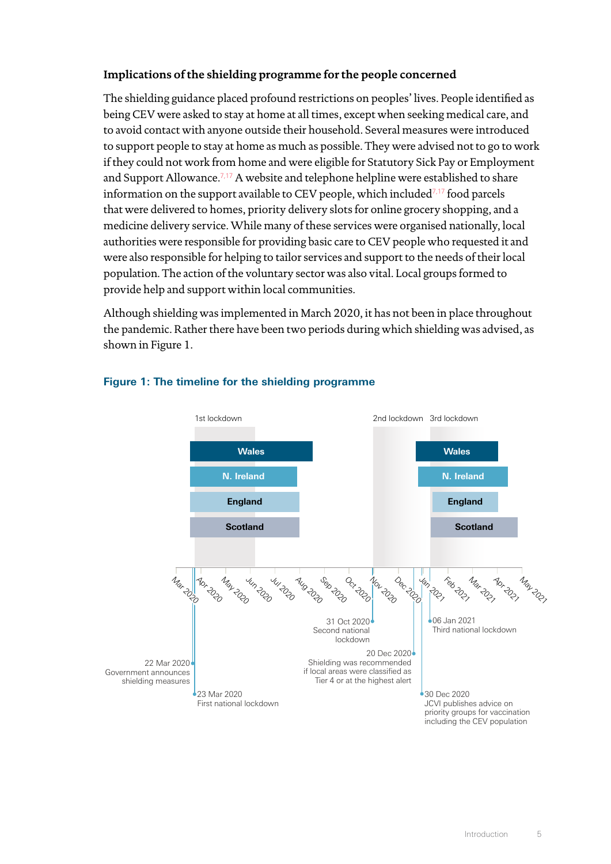# **Implications of the shielding programme for the people concerned**

The shielding guidance placed profound restrictions on peoples' lives. People identified as being CEV were asked to stay at home at all times, except when seeking medical care, and to avoid contact with anyone outside their household. Several measures were introduced to support people to stay at home as much as possible. They were advised not to go to work if they could not work from home and were eligible for Statutory Sick Pay or Employment and Support Allowance.<sup>[7](#page-27-6),[17](#page-27-16)</sup> A website and telephone helpline were established to share information on the support available to CEV people, which included $7,17$  $7,17$  food parcels that were delivered to homes, priority delivery slots for online grocery shopping, and a medicine delivery service. While many of these services were organised nationally, local authorities were responsible for providing basic care to CEV people who requested it and were also responsible for helping to tailor services and support to the needs of their local population. The action of the voluntary sector was also vital. Local groups formed to provide help and support within local communities.

Although shielding was implemented in March 2020, it has not been in place throughout the pandemic. Rather there have been two periods during which shielding was advised, as shown in Figure 1.



# **Figure 1: The timeline for the shielding programme**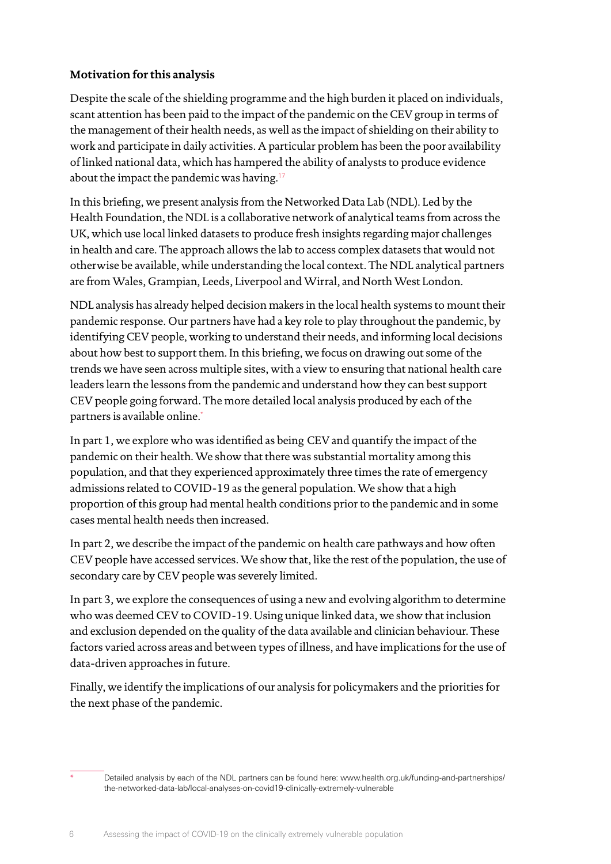# **Motivation for this analysis**

Despite the scale of the shielding programme and the high burden it placed on individuals, scant attention has been paid to the impact of the pandemic on the CEV group in terms of the management of their health needs, as well as the impact of shielding on their ability to work and participate in daily activities. A particular problem has been the poor availability of linked national data, which has hampered the ability of analysts to produce evidence about the impact the pandemic was having.<sup>[17](#page-27-16)</sup>

In this briefing, we present analysis from the Networked Data Lab (NDL). Led by the Health Foundation, the NDL is a collaborative network of analytical teams from across the UK, which use local linked datasets to produce fresh insights regarding major challenges in health and care. The approach allows the lab to access complex datasets that would not otherwise be available, while understanding the local context. The NDL analytical partners are from Wales, Grampian, Leeds, Liverpool and Wirral, and North West London.

NDL analysis has already helped decision makers in the local health systems to mount their pandemic response. Our partners have had a key role to play throughout the pandemic, by identifying CEV people, working to understand their needs, and informing local decisions about how best to support them. In this briefing, we focus on drawing out some of the trends we have seen across multiple sites, with a view to ensuring that national health care leaders learn the lessons from the pandemic and understand how they can best support CEV people going forward. The more detailed local analysis produced by each of the partners is available online.<sup>\*</sup>

In part 1, we explore who was identified as being CEV and quantify the impact of the pandemic on their health. We show that there was substantial mortality among this population, and that they experienced approximately three times the rate of emergency admissions related to COVID-19 as the general population. We show that a high proportion of this group had mental health conditions prior to the pandemic and in some cases mental health needs then increased.

In part 2, we describe the impact of the pandemic on health care pathways and how often CEV people have accessed services. We show that, like the rest of the population, the use of secondary care by CEV people was severely limited.

In part 3, we explore the consequences of using a new and evolving algorithm to determine who was deemed CEV to COVID-19. Using unique linked data, we show that inclusion and exclusion depended on the quality of the data available and clinician behaviour. These factors varied across areas and between types of illness, and have implications for the use of data-driven approaches in future.

Finally, we identify the implications of our analysis for policymakers and the priorities for the next phase of the pandemic.

Detailed analysis by each of the NDL partners can be found here: www.[health.org.uk/funding-and-partnerships/](https://health.org.uk/funding-and-partnerships/the-networked-data-lab/local-analyses-on-covid19-clinically-extremely-vulnerable) [the-networked-data-lab/local-analyses-on-covid19-clinically-extremely-vulnerable](https://health.org.uk/funding-and-partnerships/the-networked-data-lab/local-analyses-on-covid19-clinically-extremely-vulnerable)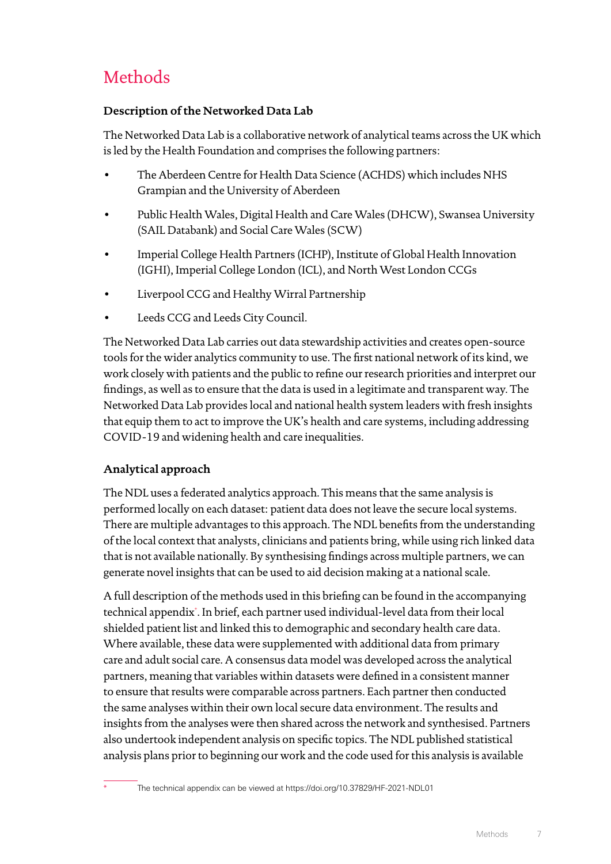# **Methods**

# **Description of the Networked Data Lab**

The Networked Data Lab is a collaborative network of analytical teams across the UK which is led by the Health Foundation and comprises the following partners:

- The Aberdeen Centre for Health Data Science (ACHDS) which includes NHS Grampian and the University of Aberdeen
- Public Health Wales, Digital Health and Care Wales (DHCW), Swansea University (SAIL Databank) and Social Care Wales (SCW)
- Imperial College Health Partners (ICHP), Institute of Global Health Innovation (IGHI), Imperial College London (ICL), and North West London CCGs
- Liverpool CCG and Healthy Wirral Partnership
- Leeds CCG and Leeds City Council.

The Networked Data Lab carries out data stewardship activities and creates open-source tools for the wider analytics community to use. The first national network of its kind, we work closely with patients and the public to refine our research priorities and interpret our findings, as well as to ensure that the data is used in a legitimate and transparent way. The Networked Data Lab provides local and national health system leaders with fresh insights that equip them to act to improve the UK's health and care systems, including addressing COVID-19 and widening health and care inequalities.

# **Analytical approach**

The NDL uses a federated analytics approach. This means that the same analysis is performed locally on each dataset: patient data does not leave the secure local systems. There are multiple advantages to this approach. The NDL benefits from the understanding of the local context that analysts, clinicians and patients bring, while using rich linked data that is not available nationally. By synthesising findings across multiple partners, we can generate novel insights that can be used to aid decision making at a national scale.

A full description of the methods used in this briefing can be found in the accompanying technical appendix\* . In brief, each partner used individual-level data from their local shielded patient list and linked this to demographic and secondary health care data. Where available, these data were supplemented with additional data from primary care and adult social care. A consensus data model was developed across the analytical partners, meaning that variables within datasets were defined in a consistent manner to ensure that results were comparable across partners. Each partner then conducted the same analyses within their own local secure data environment. The results and insights from the analyses were then shared across the network and synthesised. Partners also undertook independent analysis on specific topics. The NDL published statistical analysis plans prior to beginning our work and the code used for this analysis is available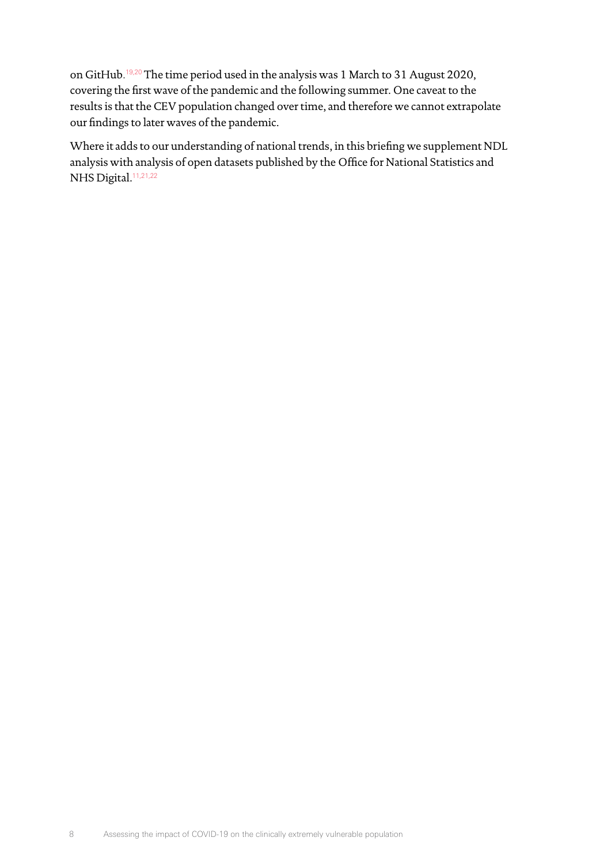on GitHub. [19](#page-27-18)[,20](#page-27-19) The time period used in the analysis was 1 March to 31 August 2020, covering the first wave of the pandemic and the following summer. One caveat to the results is that the CEV population changed over time, and therefore we cannot extrapolate our findings to later waves of the pandemic.

Where it adds to our understanding of national trends, in this briefing we supplement NDL analysis with analysis of open datasets published by the Office for National Statistics and NHS Digital.<sup>[11,](#page-27-10)[21](#page-27-20)[,22](#page-27-21)</sup>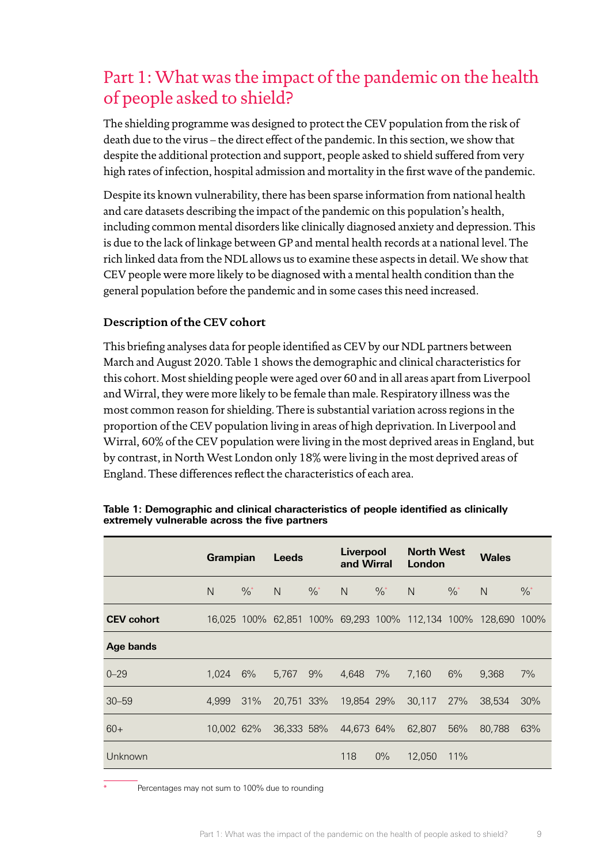# Part 1: What was the impact of the pandemic on the health of people asked to shield?

The shielding programme was designed to protect the CEV population from the risk of death due to the virus – the direct effect of the pandemic. In this section, we show that despite the additional protection and support, people asked to shield suffered from very high rates of infection, hospital admission and mortality in the first wave of the pandemic.

Despite its known vulnerability, there has been sparse information from national health and care datasets describing the impact of the pandemic on this population's health, including common mental disorders like clinically diagnosed anxiety and depression. This is due to the lack of linkage between GP and mental health records at a national level. The rich linked data from the NDL allows us to examine these aspects in detail. We show that CEV people were more likely to be diagnosed with a mental health condition than the general population before the pandemic and in some cases this need increased.

# **Description of the CEV cohort**

This briefing analyses data for people identified as CEV by our NDL partners between March and August 2020. Table 1 shows the demographic and clinical characteristics for this cohort. Most shielding people were aged over 60 and in all areas apart from Liverpool and Wirral, they were more likely to be female than male. Respiratory illness was the most common reason for shielding. There is substantial variation across regions in the proportion of the CEV population living in areas of high deprivation. In Liverpool and Wirral, 60% of the CEV population were living in the most deprived areas in England, but by contrast, in North West London only 18% were living in the most deprived areas of England. These differences reflect the characteristics of each area.

|                   | Grampian     |               | <b>Leeds</b> |               | Liverpool<br>and Wirral |               | <b>North West</b><br>London                      |               | <b>Wales</b> |               |
|-------------------|--------------|---------------|--------------|---------------|-------------------------|---------------|--------------------------------------------------|---------------|--------------|---------------|
|                   | $\mathsf{N}$ | $\frac{0}{6}$ | N            | $\frac{0}{6}$ | N                       | $\frac{0}{6}$ | $\mathsf{N}$                                     | $\frac{0}{6}$ | $\mathsf{N}$ | $\frac{9}{6}$ |
| <b>CEV cohort</b> |              |               |              |               |                         |               | 16,025 100% 62,851 100% 69,293 100% 112,134 100% |               | 128,690      | 100%          |
| <b>Age bands</b>  |              |               |              |               |                         |               |                                                  |               |              |               |
| $0 - 29$          | 1.024        | 6%            | 5.767        | 9%            | 4.648                   | 7%            | 7,160                                            | 6%            | 9.368        | 7%            |
| $30 - 59$         | 4,999        | 31%           | 20,751 33%   |               | 19,854 29%              |               | 30,117                                           | 27%           | 38,534       | 30%           |
| $60+$             | 10.002 62%   |               | 36.333 58%   |               | 44.673 64%              |               | 62,807                                           | 56%           | 80,788       | 63%           |
| Unknown           |              |               |              |               | 118                     | $0\%$         | 12,050                                           | 11%           |              |               |

**Table 1: Demographic and clinical characteristics of people identified as clinically extremely vulnerable across the five partners**

Percentages may not sum to 100% due to rounding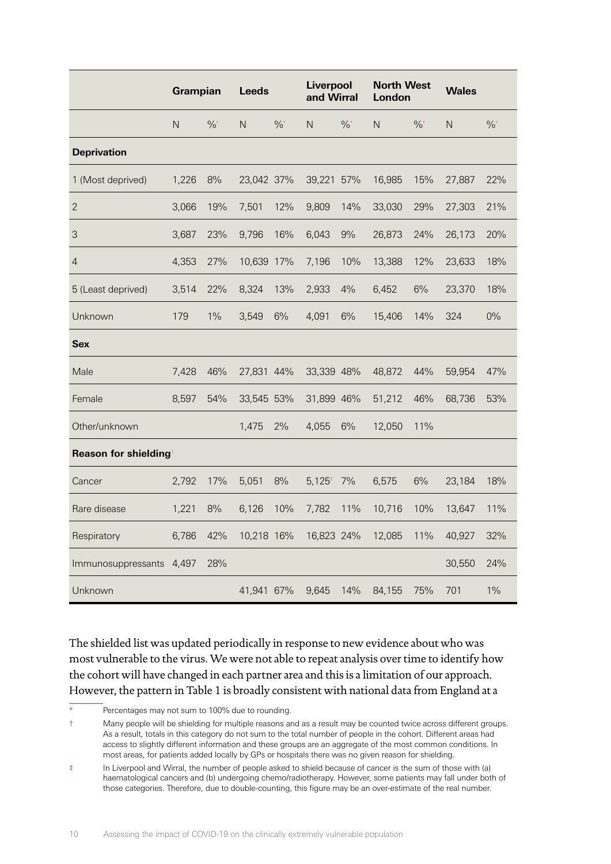|                      | Grampian |               | <b>Leeds</b> |               | Liverpool<br>and Wirral |               | <b>North West</b><br>London |               | <b>Wales</b> |               |
|----------------------|----------|---------------|--------------|---------------|-------------------------|---------------|-----------------------------|---------------|--------------|---------------|
|                      | N        | $\frac{0}{6}$ | $\mathsf{N}$ | $\frac{0}{6}$ | $\mathsf{N}$            | $\frac{0}{6}$ | N                           | $\frac{0}{6}$ | N            | $\frac{0}{6}$ |
| <b>Deprivation</b>   |          |               |              |               |                         |               |                             |               |              |               |
| 1 (Most deprived)    | 1,226    | 8%            | 23,042 37%   |               | 39,221                  | 57%           | 16,985                      | 15%           | 27,887       | 22%           |
| $\overline{2}$       | 3,066    | 19%           | 7,501        | 12%           | 9,809                   | 14%           | 33,030                      | 29%           | 27,303       | 21%           |
| 3                    | 3,687    | 23%           | 9,796        | 16%           | 6,043                   | 9%            | 26,873                      | 24%           | 26,173       | 20%           |
| $\overline{4}$       | 4,353    | 27%           | 10,639 17%   |               | 7,196                   | 10%           | 13,388                      | 12%           | 23,633       | 18%           |
| 5 (Least deprived)   | 3,514    | 22%           | 8,324        | 13%           | 2,933                   | 4%            | 6,452                       | 6%            | 23,370       | 18%           |
| Unknown              | 179      | 1%            | 3,549        | 6%            | 4,091                   | 6%            | 15,406                      | 14%           | 324          | $0\%$         |
| <b>Sex</b>           |          |               |              |               |                         |               |                             |               |              |               |
| Male                 | 7,428    | 46%           | 27,831       | 44%           | 33,339 48%              |               | 48,872                      | 44%           | 59,954       | 47%           |
| Female               | 8,597    | 54%           | 33,545 53%   |               | 31,899 46%              |               | 51,212                      | 46%           | 68,736       | 53%           |
| Other/unknown        |          |               | 1,475        | 2%            | 4,055                   | 6%            | 12,050                      | 11%           |              |               |
| Reason for shielding |          |               |              |               |                         |               |                             |               |              |               |
| Cancer               | 2,792    | 17%           | 5,051        | 8%            | $5,125$ <sup>+</sup>    | 7%            | 6,575                       | 6%            | 23,184       | 18%           |
| Rare disease         | 1,221    | 8%            | 6,126        | 10%           | 7,782                   | 11%           | 10,716                      | 10%           | 13,647       | 11%           |
| Respiratory          | 6,786    | 42%           | 10,218 16%   |               | 16,823 24%              |               | 12,085                      | 11%           | 40,927       | 32%           |
| Immunosuppressants   | 4,497    | 28%           |              |               |                         |               |                             |               | 30,550       | 24%           |
| Unknown              |          |               | 41,941 67%   |               | 9,645                   | 14%           | 84,155                      | 75%           | 701          | 1%            |

The shielded list was updated periodically in response to new evidence about who was most vulnerable to the virus. We were not able to repeat analysis over time to identify how the cohort will have changed in each partner area and this is a limitation of our approach. However, the pattern in Table 1 is broadly consistent with national data from England at a

Percentages may not sum to 100% due to rounding.

<sup>†</sup> Many people will be shielding for multiple reasons and as a result may be counted twice across different groups. As a result, totals in this category do not sum to the total number of people in the cohort. Different areas had access to slightly different information and these groups are an aggregate of the most common conditions. In most areas, for patients added locally by GPs or hospitals there was no given reason for shielding.

<sup>‡</sup> In Liverpool and Wirral, the number of people asked to shield because of cancer is the sum of those with (a) haematological cancers and (b) undergoing chemo/radiotherapy. However, some patients may fall under both of those categories. Therefore, due to double-counting, this figure may be an over-estimate of the real number.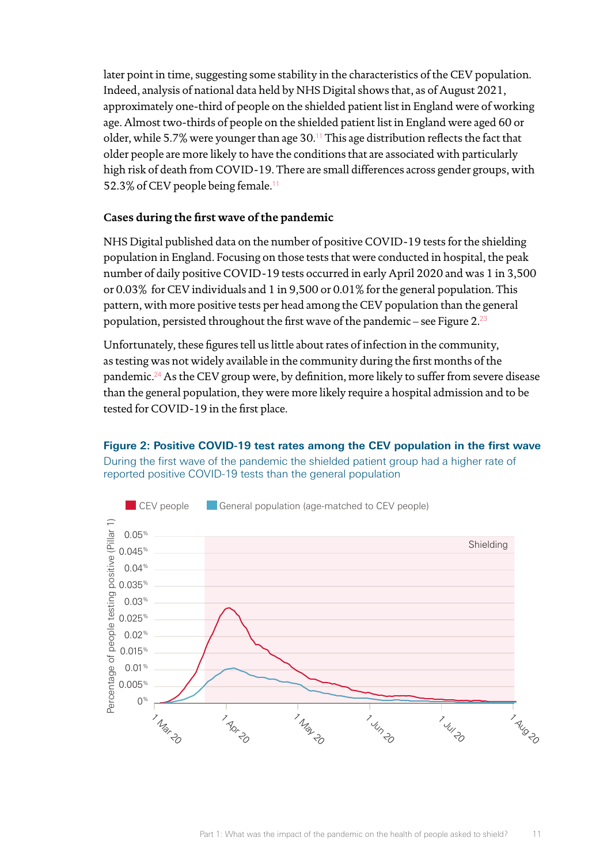later point in time, suggesting some stability in the characteristics of the CEV population. Indeed, analysis of national data held by NHS Digital shows that, as of August 2021, approximately one-third of people on the shielded patient list in England were of working age. Almost two-thirds of people on the shielded patient list in England were aged 60 or older, while 5.7% were younger than age  $30.^{11}$  $30.^{11}$  $30.^{11}$  This age distribution reflects the fact that older people are more likely to have the conditions that are associated with particularly high risk of death from COVID-19. There are small differences across gender groups, with 52.3% of CEV people being female.<sup>[11](#page-27-10)</sup>

## **Cases during the first wave of the pandemic**

NHS Digital published data on the number of positive COVID-19 tests for the shielding population in England. Focusing on those tests that were conducted in hospital, the peak number of daily positive COVID-19 tests occurred in early April 2020 and was 1 in 3,500 or 0.03% for CEV individuals and 1 in 9,500 or 0.01% for the general population. This pattern, with more positive tests per head among the CEV population than the general population, persisted throughout the first wave of the pandemic – see Figure 2. $^{23}$ 

Unfortunately, these figures tell us little about rates of infection in the community, as testing was not widely available in the community during the first months of the pandemic.[24](#page-28-0) As the CEV group were, by definition, more likely to suffer from severe disease than the general population, they were more likely require a hospital admission and to be tested for COVID-19 in the first place.

**Figure 2: Positive COVID-19 test rates among the CEV population in the first wave** During the first wave of the pandemic the shielded patient group had a higher rate of reported positive COVID-19 tests than the general population

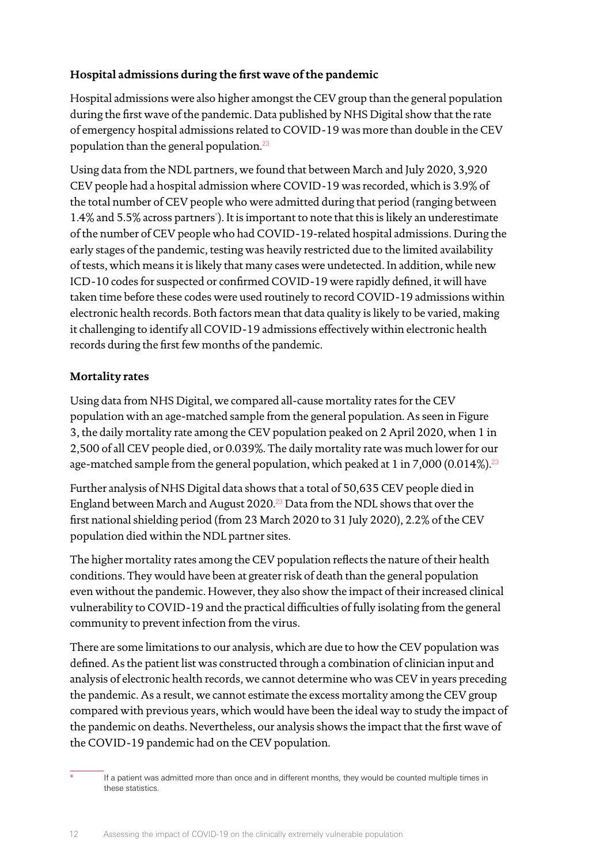# **Hospital admissions during the first wave of the pandemic**

Hospital admissions were also higher amongst the CEV group than the general population during the first wave of the pandemic. Data published by NHS Digital show that the rate of emergency hospital admissions related to COVID-19 was more than double in the CEV population than the general population.[23](#page-27-22)

Using data from the NDL partners, we found that between March and July 2020, 3,920 CEV people had a hospital admission where COVID-19 was recorded, which is 3.9% of the total number of CEV people who were admitted during that period (ranging between 1.4% and 5.5% across partners\* ). It is important to note that this is likely an underestimate of the number of CEV people who had COVID-19-related hospital admissions. During the early stages of the pandemic, testing was heavily restricted due to the limited availability of tests, which means it is likely that many cases were undetected. In addition, while new ICD-10 codes for suspected or confirmed COVID-19 were rapidly defined, it will have taken time before these codes were used routinely to record COVID-19 admissions within electronic health records. Both factors mean that data quality is likely to be varied, making it challenging to identify all COVID-19 admissions effectively within electronic health records during the first few months of the pandemic.

# **Mortality rates**

Using data from NHS Digital, we compared all-cause mortality rates for the CEV population with an age-matched sample from the general population. As seen in Figure 3, the daily mortality rate among the CEV population peaked on 2 April 2020, when 1 in 2,500 of all CEV people died, or 0.039%. The daily mortality rate was much lower for our age-matched sample from the general population, which peaked at 1 in 7,000 (0.014%).<sup>[23](#page-27-22)</sup>

Further analysis of NHS Digital data shows that a total of 50,635 CEV people died in England between March and August 2020.[23](#page-27-22) Data from the NDL shows that over the first national shielding period (from 23 March 2020 to 31 July 2020), 2.2% of the CEV population died within the NDL partner sites.

The higher mortality rates among the CEV population reflects the nature of their health conditions. They would have been at greater risk of death than the general population even without the pandemic. However, they also show the impact of their increased clinical vulnerability to COVID-19 and the practical difficulties of fully isolating from the general community to prevent infection from the virus.

There are some limitations to our analysis, which are due to how the CEV population was defined. As the patient list was constructed through a combination of clinician input and analysis of electronic health records, we cannot determine who was CEV in years preceding the pandemic. As a result, we cannot estimate the excess mortality among the CEV group compared with previous years, which would have been the ideal way to study the impact of the pandemic on deaths. Nevertheless, our analysis shows the impact that the first wave of the COVID-19 pandemic had on the CEV population.

If a patient was admitted more than once and in different months, they would be counted multiple times in these statistics.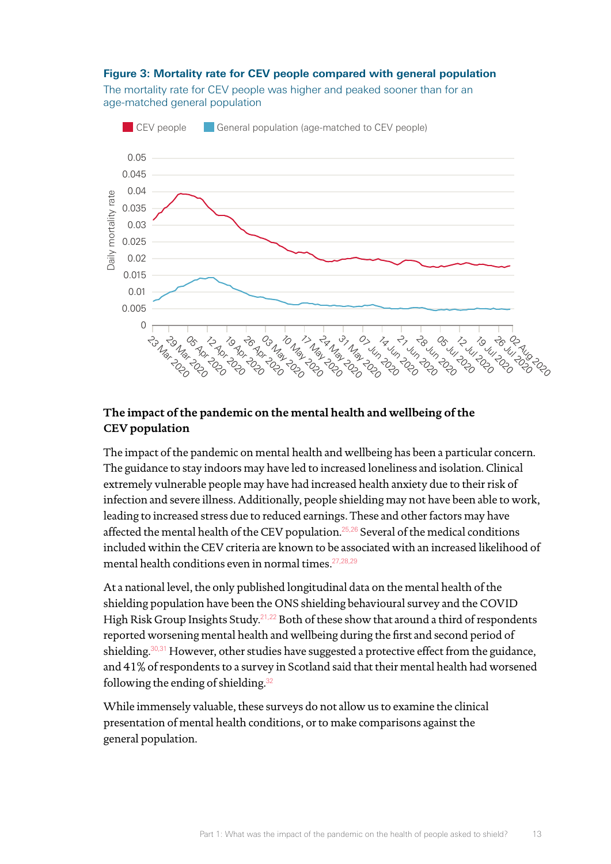#### **Figure 3: Mortality rate for CEV people compared with general population**

The mortality rate for CEV people was higher and peaked sooner than for an age-matched general population



# **The impact of the pandemic on the mental health and wellbeing of the CEV population**

The impact of the pandemic on mental health and wellbeing has been a particular concern. The guidance to stay indoors may have led to increased loneliness and isolation. Clinical extremely vulnerable people may have had increased health anxiety due to their risk of infection and severe illness. Additionally, people shielding may not have been able to work, leading to increased stress due to reduced earnings. These and other factors may have affected the mental health of the CEV population.<sup>[25](#page-28-1),[26](#page-28-2)</sup> Several of the medical conditions included within the CEV criteria are known to be associated with an increased likelihood of mental health conditions even in normal times.[27](#page-28-3)[,28](#page-28-4)[,29](#page-28-5)

At a national level, the only published longitudinal data on the mental health of the shielding population have been the ONS shielding behavioural survey and the COVID High Risk Group Insights Study.<sup>[21,](#page-27-20)[22](#page-27-21)</sup> Both of these show that around a third of respondents reported worsening mental health and wellbeing during the first and second period of shielding. $30,31$  $30,31$  However, other studies have suggested a protective effect from the guidance, and 41% of respondents to a survey in Scotland said that their mental health had worsened following the ending of shielding.[32](#page-28-8)

While immensely valuable, these surveys do not allow us to examine the clinical presentation of mental health conditions, or to make comparisons against the general population.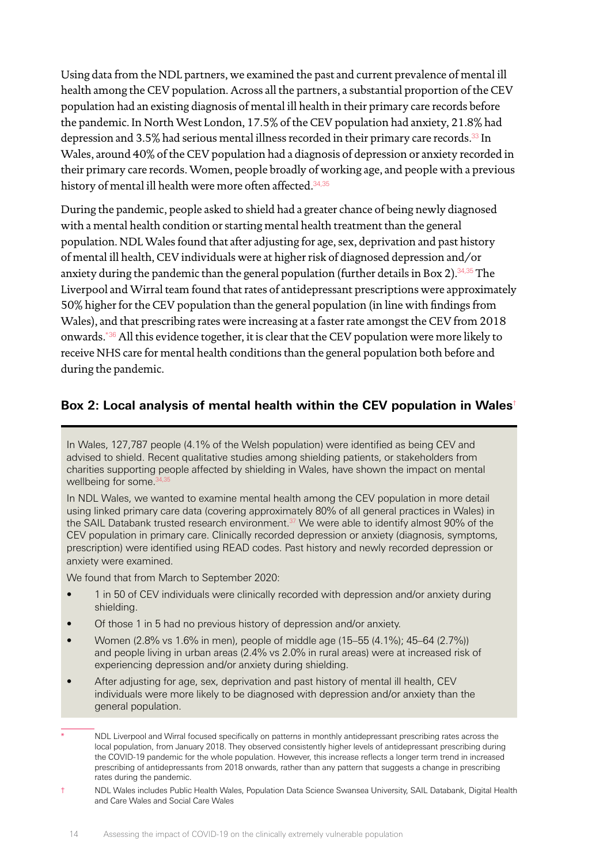Using data from the NDL partners, we examined the past and current prevalence of mental ill health among the CEV population. Across all the partners, a substantial proportion of the CEV population had an existing diagnosis of mental ill health in their primary care records before the pandemic. In North West London, 17.5% of the CEV population had anxiety, 21.8% had depression and 3.5% had serious mental illness recorded in their primary care records.[33](#page-28-9) In Wales, around 40% of the CEV population had a diagnosis of depression or anxiety recorded in their primary care records. Women, people broadly of working age, and people with a previous history of mental ill health were more often affected.<sup>[34](#page-28-10)[,35](#page-28-11)</sup>

During the pandemic, people asked to shield had a greater chance of being newly diagnosed with a mental health condition or starting mental health treatment than the general population. NDL Wales found that after adjusting for age, sex, deprivation and past history of mental ill health, CEV individuals were at higher risk of diagnosed depression and/or anxiety during the pandemic than the general population (further details in Box 2).<sup>[34](#page-28-10)[,35](#page-28-11)</sup> The Liverpool and Wirral team found that rates of antidepressant prescriptions were approximately 50% higher for the CEV population than the general population (in line with findings from Wales), and that prescribing rates were increasing at a faster rate amongst the CEV from 2018 onwards.\*[36](#page-28-12) All this evidence together, it is clear that the CEV population were more likely to receive NHS care for mental health conditions than the general population both before and during the pandemic.

# **Box 2: Local analysis of mental health within the CEV population in Wales**†

In Wales, 127,787 people (4.1% of the Welsh population) were identified as being CEV and advised to shield. Recent qualitative studies among shielding patients, or stakeholders from charities supporting people affected by shielding in Wales, have shown the impact on mental wellbeing for some.<sup>[34](#page-28-10)</sup>

In NDL Wales, we wanted to examine mental health among the CEV population in more detail using linked primary care data (covering approximately 80% of all general practices in Wales) in the SAIL Databank trusted research environment.<sup>37</sup> We were able to identify almost 90% of the CEV population in primary care. Clinically recorded depression or anxiety (diagnosis, symptoms, prescription) were identified using READ codes. Past history and newly recorded depression or anxiety were examined.

We found that from March to September 2020:

- 1 in 50 of CEV individuals were clinically recorded with depression and/or anxiety during shielding.
- Of those 1 in 5 had no previous history of depression and/or anxiety.
- Women (2.8% vs 1.6% in men), people of middle age (15–55 (4.1%); 45–64 (2.7%)) and people living in urban areas (2.4% vs 2.0% in rural areas) were at increased risk of experiencing depression and/or anxiety during shielding.
- After adjusting for age, sex, deprivation and past history of mental ill health, CEV individuals were more likely to be diagnosed with depression and/or anxiety than the general population.

NDL Liverpool and Wirral focused specifically on patterns in monthly antidepressant prescribing rates across the local population, from January 2018. They observed consistently higher levels of antidepressant prescribing during the COVID-19 pandemic for the whole population. However, this increase reflects a longer term trend in increased prescribing of antidepressants from 2018 onwards, rather than any pattern that suggests a change in prescribing rates during the pandemic.

<sup>†</sup> NDL Wales includes Public Health Wales, Population Data Science Swansea University, SAIL Databank, Digital Health and Care Wales and Social Care Wales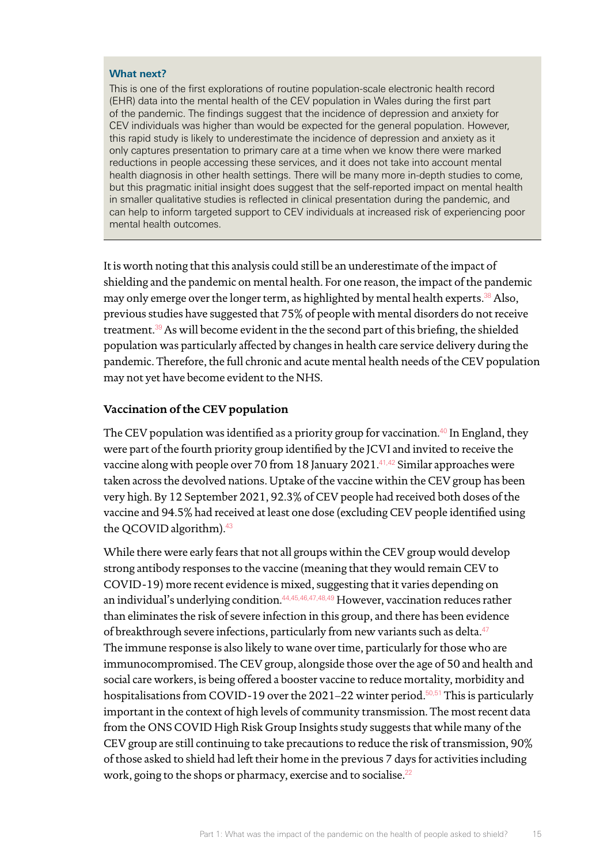#### **What next?**

This is one of the first explorations of routine population-scale electronic health record (EHR) data into the mental health of the CEV population in Wales during the first part of the pandemic. The findings suggest that the incidence of depression and anxiety for CEV individuals was higher than would be expected for the general population. However, this rapid study is likely to underestimate the incidence of depression and anxiety as it only captures presentation to primary care at a time when we know there were marked reductions in people accessing these services, and it does not take into account mental health diagnosis in other health settings. There will be many more in-depth studies to come, but this pragmatic initial insight does suggest that the self-reported impact on mental health in smaller qualitative studies is reflected in clinical presentation during the pandemic, and can help to inform targeted support to CEV individuals at increased risk of experiencing poor mental health outcomes.

It is worth noting that this analysis could still be an underestimate of the impact of shielding and the pandemic on mental health. For one reason, the impact of the pandemic may only emerge over the longer term, as highlighted by mental health experts.<sup>[38](#page-28-14)</sup> Also, previous studies have suggested that 75% of people with mental disorders do not receive treatment.[39](#page-28-15) As will become evident in the the second part of this briefing, the shielded population was particularly affected by changes in health care service delivery during the pandemic. Therefore, the full chronic and acute mental health needs of the CEV population may not yet have become evident to the NHS.

#### **Vaccination of the CEV population**

The CEV population was identified as a priority group for vaccination.<sup>[40](#page-28-16)</sup> In England, they were part of the fourth priority group identified by the JCVI and invited to receive the vaccine along with people over 70 from 18 January 2021.<sup>[41](#page-28-17)[,42](#page-28-18)</sup> Similar approaches were taken across the devolved nations. Uptake of the vaccine within the CEV group has been very high. By 12 September 2021, 92.3% of CEV people had received both doses of the vaccine and 94.5% had received at least one dose (excluding CEV people identified using the QCOVID algorithm).<sup>[43](#page-28-19)</sup>

While there were early fears that not all groups within the CEV group would develop strong antibody responses to the vaccine (meaning that they would remain CEV to COVID-19) more recent evidence is mixed, suggesting that it varies depending on an individual's underlying condition.<sup>[44,](#page-28-20)[45](#page-29-0)[,46](#page-29-1)[,47](#page-29-2)[,48](#page-29-3),[49](#page-29-4)</sup> However, vaccination reduces rather than eliminates the risk of severe infection in this group, and there has been evidence of breakthrough severe infections, particularly from new variants such as delta.<sup>[47](#page-29-2)</sup> The immune response is also likely to wane over time, particularly for those who are immunocompromised. The CEV group, alongside those over the age of 50 and health and social care workers, is being offered a booster vaccine to reduce mortality, morbidity and hospitalisations from COVID-19 over the 2021–22 winter period.<sup>[50,](#page-29-5)[51](#page-29-6)</sup> This is particularly important in the context of high levels of community transmission. The most recent data from the ONS COVID High Risk Group Insights study suggests that while many of the CEV group are still continuing to take precautions to reduce the risk of transmission, 90% of those asked to shield had left their home in the previous 7 days for activities including work, going to the shops or pharmacy, exercise and to socialise.<sup>22</sup>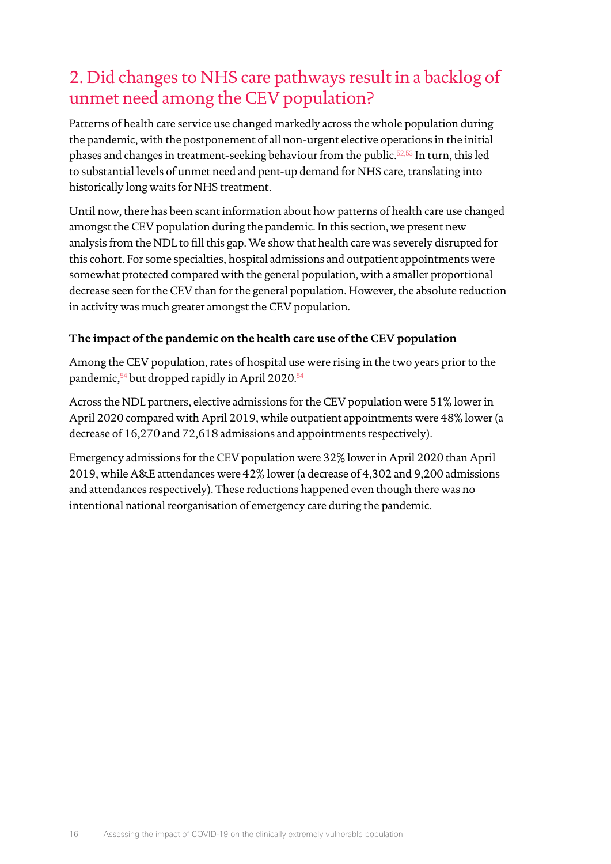# 2. Did changes to NHS care pathways result in a backlog of unmet need among the CEV population?

Patterns of health care service use changed markedly across the whole population during the pandemic, with the postponement of all non-urgent elective operations in the initial phases and changes in treatment-seeking behaviour from the public.<sup>[52](#page-29-7)[,53](#page-29-8)</sup> In turn, this led to substantial levels of unmet need and pent-up demand for NHS care, translating into historically long waits for NHS treatment.

Until now, there has been scant information about how patterns of health care use changed amongst the CEV population during the pandemic. In this section, we present new analysis from the NDL to fill this gap. We show that health care was severely disrupted for this cohort. For some specialties, hospital admissions and outpatient appointments were somewhat protected compared with the general population, with a smaller proportional decrease seen for the CEV than for the general population. However, the absolute reduction in activity was much greater amongst the CEV population.

# **The impact of the pandemic on the health care use of the CEV population**

Among the CEV population, rates of hospital use were rising in the two years prior to the pandemic,<sup>[54](#page-29-9)</sup> but dropped rapidly in April 2020.<sup>54</sup>

Across the NDL partners, elective admissions for the CEV population were 51% lower in April 2020 compared with April 2019, while outpatient appointments were 48% lower (a decrease of 16,270 and 72,618 admissions and appointments respectively).

Emergency admissions for the CEV population were 32% lower in April 2020 than April 2019, while A&E attendances were 42% lower (a decrease of 4,302 and 9,200 admissions and attendances respectively). These reductions happened even though there was no intentional national reorganisation of emergency care during the pandemic.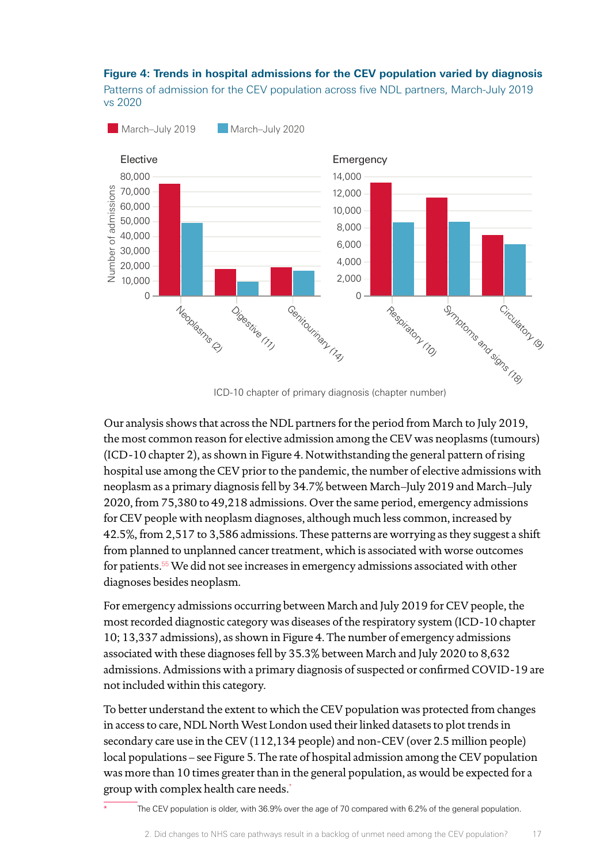#### **Figure 4: Trends in hospital admissions for the CEV population varied by diagnosis**

Patterns of admission for the CEV population across five NDL partners, March-July 2019 vs 2020



ICD-10 chapter of primary diagnosis (chapter number)

Our analysis shows that across the NDL partners for the period from March to July 2019, the most common reason for elective admission among the CEV was neoplasms (tumours) (ICD-10 chapter 2), as shown in Figure 4. Notwithstanding the general pattern of rising hospital use among the CEV prior to the pandemic, the number of elective admissions with neoplasm as a primary diagnosis fell by 34.7% between March–July 2019 and March–July 2020, from 75,380 to 49,218 admissions. Over the same period, emergency admissions for CEV people with neoplasm diagnoses, although much less common, increased by 42.5%, from 2,517 to 3,586 admissions. These patterns are worrying as they suggest a shift from planned to unplanned cancer treatment, which is associated with worse outcomes for patients.[55](#page-29-10) We did not see increases in emergency admissions associated with other diagnoses besides neoplasm.

For emergency admissions occurring between March and July 2019 for CEV people, the most recorded diagnostic category was diseases of the respiratory system (ICD-10 chapter 10; 13,337 admissions), as shown in Figure 4. The number of emergency admissions associated with these diagnoses fell by 35.3% between March and July 2020 to 8,632 admissions. Admissions with a primary diagnosis of suspected or confirmed COVID-19 are not included within this category.

To better understand the extent to which the CEV population was protected from changes in access to care, NDL North West London used their linked datasets to plot trends in secondary care use in the CEV (112,134 people) and non-CEV (over 2.5 million people) local populations – see Figure 5. The rate of hospital admission among the CEV population was more than 10 times greater than in the general population, as would be expected for a group with complex health care needs.\*

The CEV population is older, with 36.9% over the age of 70 compared with 6.2% of the general population.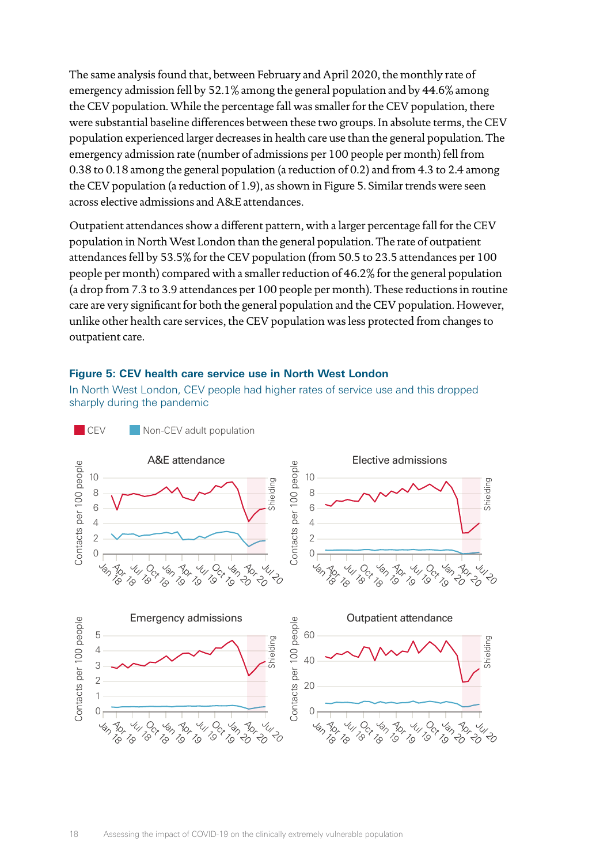The same analysis found that, between February and April 2020, the monthly rate of emergency admission fell by 52.1% among the general population and by 44.6% among the CEV population. While the percentage fall was smaller for the CEV population, there were substantial baseline differences between these two groups. In absolute terms, the CEV population experienced larger decreases in health care use than the general population. The emergency admission rate (number of admissions per 100 people per month) fell from 0.38 to 0.18 among the general population (a reduction of 0.2) and from 4.3 to 2.4 among the CEV population (a reduction of 1.9), as shown in Figure 5. Similar trends were seen across elective admissions and A&E attendances.

Outpatient attendances show a different pattern, with a larger percentage fall for the CEV population in North West London than the general population. The rate of outpatient attendances fell by 53.5% for the CEV population (from 50.5 to 23.5 attendances per 100 people per month) compared with a smaller reduction of 46.2% for the general population (a drop from 7.3 to 3.9 attendances per 100 people per month). These reductions in routine care are very significant for both the general population and the CEV population. However, unlike other health care services, the CEV population was less protected from changes to outpatient care.

#### **Figure 5: CEV health care service use in North West London**

In North West London, CEV people had higher rates of service use and this dropped sharply during the pandemic

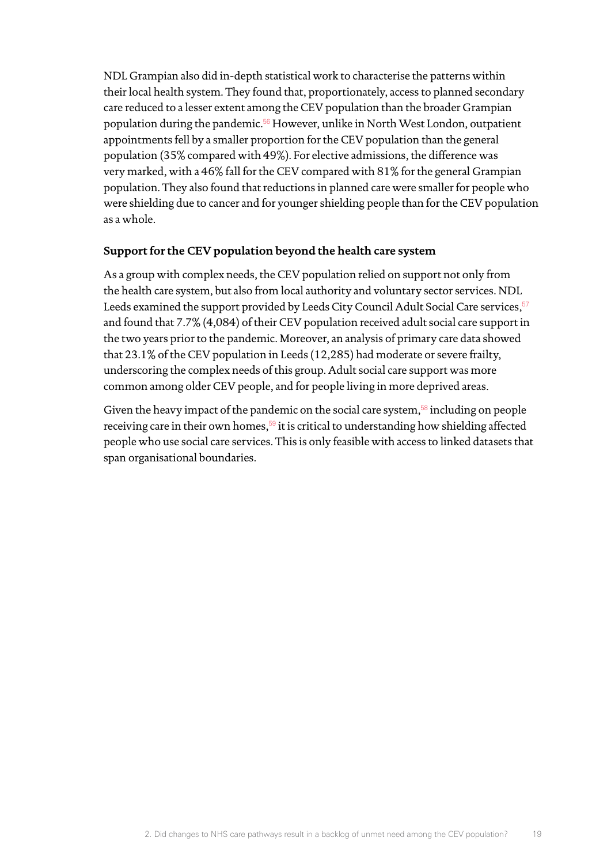NDL Grampian also did in-depth statistical work to characterise the patterns within their local health system. They found that, proportionately, access to planned secondary care reduced to a lesser extent among the CEV population than the broader Grampian population during the pandemic.<sup>[56](#page-29-11)</sup> However, unlike in North West London, outpatient appointments fell by a smaller proportion for the CEV population than the general population (35% compared with 49%). For elective admissions, the difference was very marked, with a 46% fall for the CEV compared with 81% for the general Grampian population. They also found that reductions in planned care were smaller for people who were shielding due to cancer and for younger shielding people than for the CEV population as a whole.

### **Support for the CEV population beyond the health care system**

As a group with complex needs, the CEV population relied on support not only from the health care system, but also from local authority and voluntary sector services. NDL Leeds examined the support provided by Leeds City Council Adult Social Care services,  $57$ and found that 7.7% (4,084) of their CEV population received adult social care support in the two years prior to the pandemic. Moreover, an analysis of primary care data showed that 23.1% of the CEV population in Leeds (12,285) had moderate or severe frailty, underscoring the complex needs of this group. Adult social care support was more common among older CEV people, and for people living in more deprived areas.

Given the heavy impact of the pandemic on the social care system, $58$  including on people receiving care in their own homes,<sup>[59](#page-29-14)</sup> it is critical to understanding how shielding affected people who use social care services. This is only feasible with access to linked datasets that span organisational boundaries.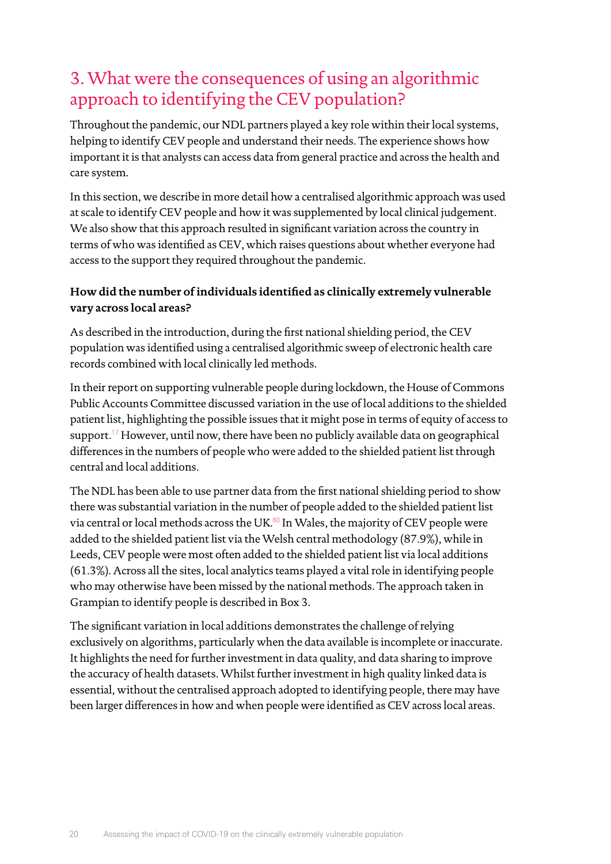# 3. What were the consequences of using an algorithmic approach to identifying the CEV population?

Throughout the pandemic, our NDL partners played a key role within their local systems, helping to identify CEV people and understand their needs. The experience shows how important it is that analysts can access data from general practice and across the health and care system.

In this section, we describe in more detail how a centralised algorithmic approach was used at scale to identify CEV people and how it was supplemented by local clinical judgement. We also show that this approach resulted in significant variation across the country in terms of who was identified as CEV, which raises questions about whether everyone had access to the support they required throughout the pandemic.

# **How did the number of individuals identified as clinically extremely vulnerable vary across local areas?**

As described in the introduction, during the first national shielding period, the CEV population was identified using a centralised algorithmic sweep of electronic health care records combined with local clinically led methods.

In their report on supporting vulnerable people during lockdown, the House of Commons Public Accounts Committee discussed variation in the use of local additions to the shielded patient list, highlighting the possible issues that it might pose in terms of equity of access to support.<sup>[17](#page-27-16)</sup> However, until now, there have been no publicly available data on geographical differences in the numbers of people who were added to the shielded patient list through central and local additions.

The NDL has been able to use partner data from the first national shielding period to show there was substantial variation in the number of people added to the shielded patient list via central or local methods across the UK.<sup>[60](#page-29-15)</sup> In Wales, the majority of CEV people were added to the shielded patient list via the Welsh central methodology (87.9%), while in Leeds, CEV people were most often added to the shielded patient list via local additions (61.3%). Across all the sites, local analytics teams played a vital role in identifying people who may otherwise have been missed by the national methods. The approach taken in Grampian to identify people is described in Box 3.

The significant variation in local additions demonstrates the challenge of relying exclusively on algorithms, particularly when the data available is incomplete or inaccurate. It highlights the need for further investment in data quality, and data sharing to improve the accuracy of health datasets. Whilst further investment in high quality linked data is essential, without the centralised approach adopted to identifying people, there may have been larger differences in how and when people were identified as CEV across local areas.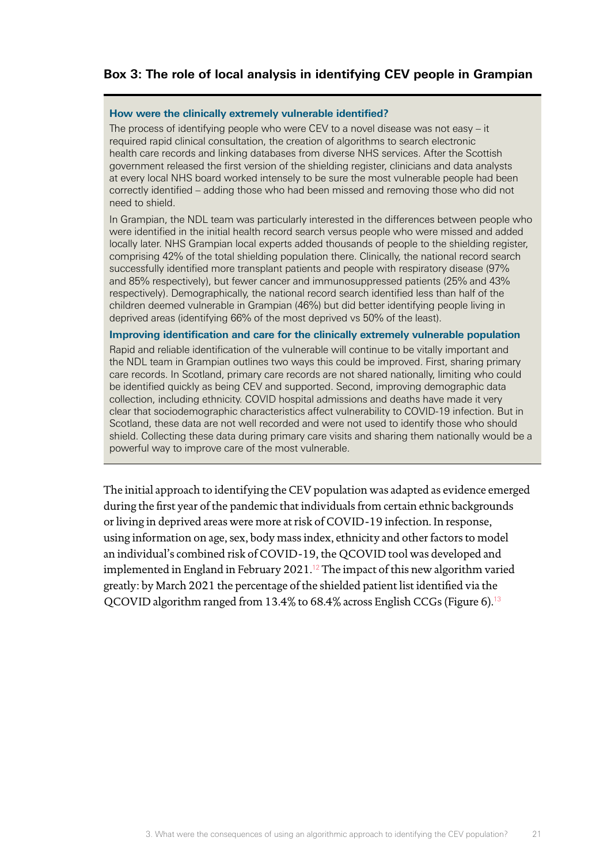# **Box 3: The role of local analysis in identifying CEV people in Grampian**

#### **How were the clinically extremely vulnerable identified?**

The process of identifying people who were CEV to a novel disease was not easy – it required rapid clinical consultation, the creation of algorithms to search electronic health care records and linking databases from diverse NHS services. After the Scottish government released the first version of the shielding register, clinicians and data analysts at every local NHS board worked intensely to be sure the most vulnerable people had been correctly identified – adding those who had been missed and removing those who did not need to shield.

In Grampian, the NDL team was particularly interested in the differences between people who were identified in the initial health record search versus people who were missed and added locally later. NHS Grampian local experts added thousands of people to the shielding register, comprising 42% of the total shielding population there. Clinically, the national record search successfully identified more transplant patients and people with respiratory disease (97% and 85% respectively), but fewer cancer and immunosuppressed patients (25% and 43% respectively). Demographically, the national record search identified less than half of the children deemed vulnerable in Grampian (46%) but did better identifying people living in deprived areas (identifying 66% of the most deprived vs 50% of the least).

#### **Improving identification and care for the clinically extremely vulnerable population**

Rapid and reliable identification of the vulnerable will continue to be vitally important and the NDL team in Grampian outlines two ways this could be improved. First, sharing primary care records. In Scotland, primary care records are not shared nationally, limiting who could be identified quickly as being CEV and supported. Second, improving demographic data collection, including ethnicity. COVID hospital admissions and deaths have made it very clear that sociodemographic characteristics affect vulnerability to COVID-19 infection. But in Scotland, these data are not well recorded and were not used to identify those who should shield. Collecting these data during primary care visits and sharing them nationally would be a powerful way to improve care of the most vulnerable.

The initial approach to identifying the CEV population was adapted as evidence emerged during the first year of the pandemic that individuals from certain ethnic backgrounds or living in deprived areas were more at risk of COVID-19 infection. In response, using information on age, sex, body mass index, ethnicity and other factors to model an individual's combined risk of COVID-19, the QCOVID tool was developed and implemented in England in February 2021.<sup>[12](#page-27-11)</sup> The impact of this new algorithm varied greatly: by March 2021 the percentage of the shielded patient list identified via the QCOVID algorithm ranged from 13.4% to 68.4% across English CCGs (Figure 6).[13](#page-27-12)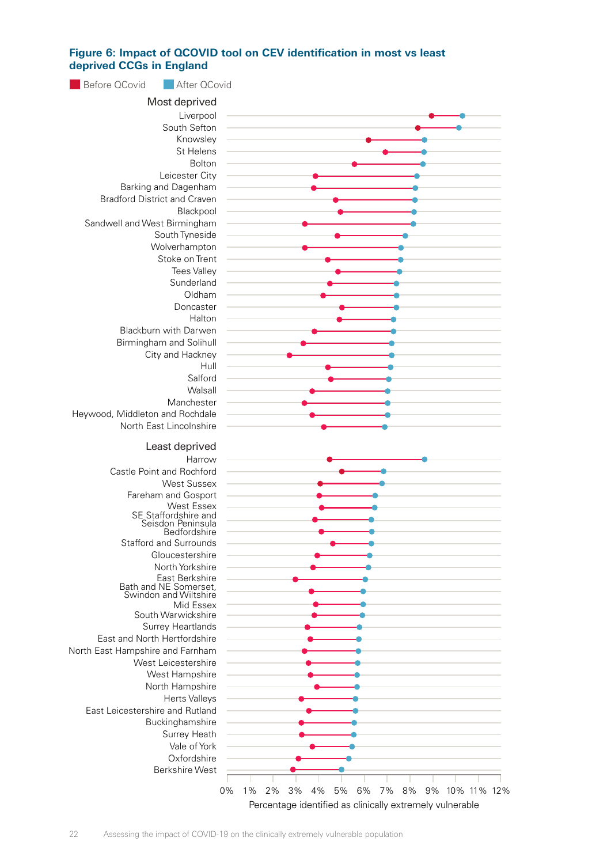#### Figure 6: Impact of QCOVID tool on CEV identification in most vs least deprived **CCGs** in England  $k = 1$



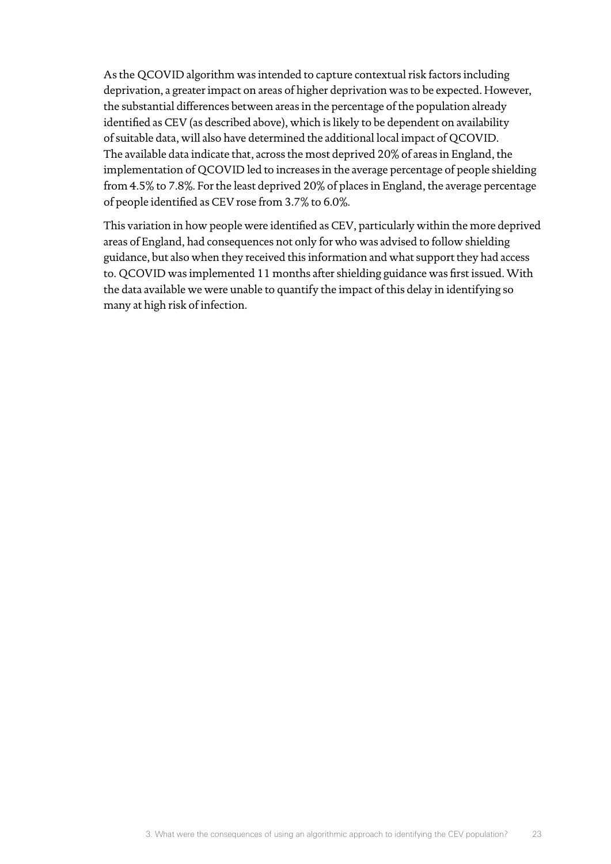As the QCOVID algorithm was intended to capture contextual risk factors including deprivation, a greater impact on areas of higher deprivation was to be expected. However, the substantial differences between areas in the percentage of the population already identified as CEV (as described above), which is likely to be dependent on availability of suitable data, will also have determined the additional local impact of QCOVID. The available data indicate that, across the most deprived 20% of areas in England, the implementation of QCOVID led to increases in the average percentage of people shielding from 4.5% to 7.8%. For the least deprived 20% of places in England, the average percentage of people identified as CEV rose from 3.7% to 6.0%.

This variation in how people were identified as CEV, particularly within the more deprived areas of England, had consequences not only for who was advised to follow shielding guidance, but also when they received this information and what support they had access to. QCOVID was implemented 11 months after shielding guidance was first issued. With the data available we were unable to quantify the impact of this delay in identifying so many at high risk of infection.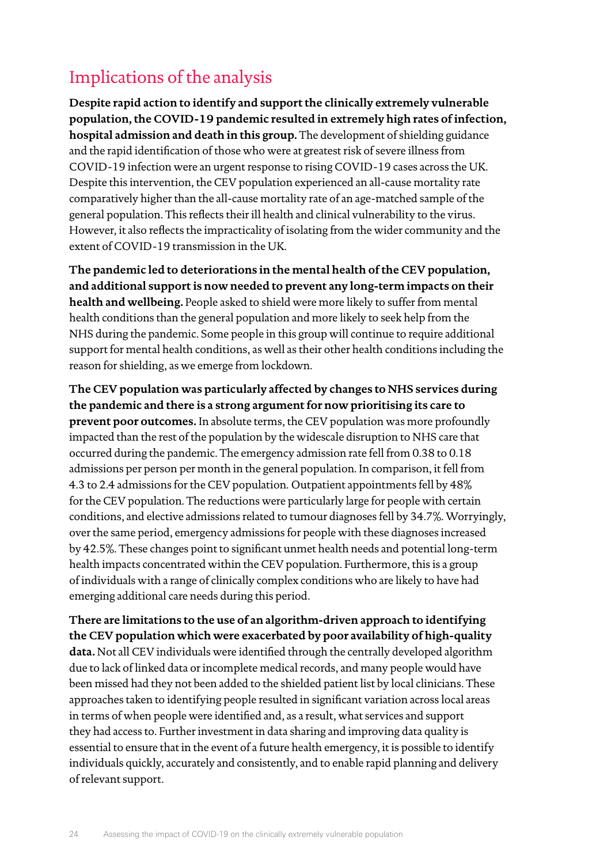# Implications of the analysis

**Despite rapid action to identify and support the clinically extremely vulnerable population, the COVID-19 pandemic resulted in extremely high rates of infection, hospital admission and death in this group.** The development of shielding guidance and the rapid identification of those who were at greatest risk of severe illness from COVID-19 infection were an urgent response to rising COVID-19 cases across the UK. Despite this intervention, the CEV population experienced an all-cause mortality rate comparatively higher than the all-cause mortality rate of an age-matched sample of the general population. This reflects their ill health and clinical vulnerability to the virus. However, it also reflects the impracticality of isolating from the wider community and the extent of COVID-19 transmission in the UK.

**The pandemic led to deteriorations in the mental health of the CEV population, and additional support is now needed to prevent any long-term impacts on their health and wellbeing.** People asked to shield were more likely to suffer from mental health conditions than the general population and more likely to seek help from the NHS during the pandemic. Some people in this group will continue to require additional support for mental health conditions, as well as their other health conditions including the reason for shielding, as we emerge from lockdown.

**The CEV population was particularly affected by changes to NHS services during the pandemic and there is a strong argument for now prioritising its care to prevent poor outcomes.** In absolute terms, the CEV population was more profoundly impacted than the rest of the population by the widescale disruption to NHS care that occurred during the pandemic. The emergency admission rate fell from 0.38 to 0.18 admissions per person per month in the general population. In comparison, it fell from 4.3 to 2.4 admissions for the CEV population. Outpatient appointments fell by 48% for the CEV population. The reductions were particularly large for people with certain conditions, and elective admissions related to tumour diagnoses fell by 34.7%. Worryingly, over the same period, emergency admissions for people with these diagnoses increased by 42.5%. These changes point to significant unmet health needs and potential long-term health impacts concentrated within the CEV population. Furthermore, this is a group of individuals with a range of clinically complex conditions who are likely to have had emerging additional care needs during this period.

**There are limitations to the use of an algorithm-driven approach to identifying the CEV population which were exacerbated by poor availability of high-quality data.** Not all CEV individuals were identified through the centrally developed algorithm due to lack of linked data or incomplete medical records, and many people would have been missed had they not been added to the shielded patient list by local clinicians. These approaches taken to identifying people resulted in significant variation across local areas in terms of when people were identified and, as a result, what services and support they had access to. Further investment in data sharing and improving data quality is essential to ensure that in the event of a future health emergency, it is possible to identify individuals quickly, accurately and consistently, and to enable rapid planning and delivery of relevant support.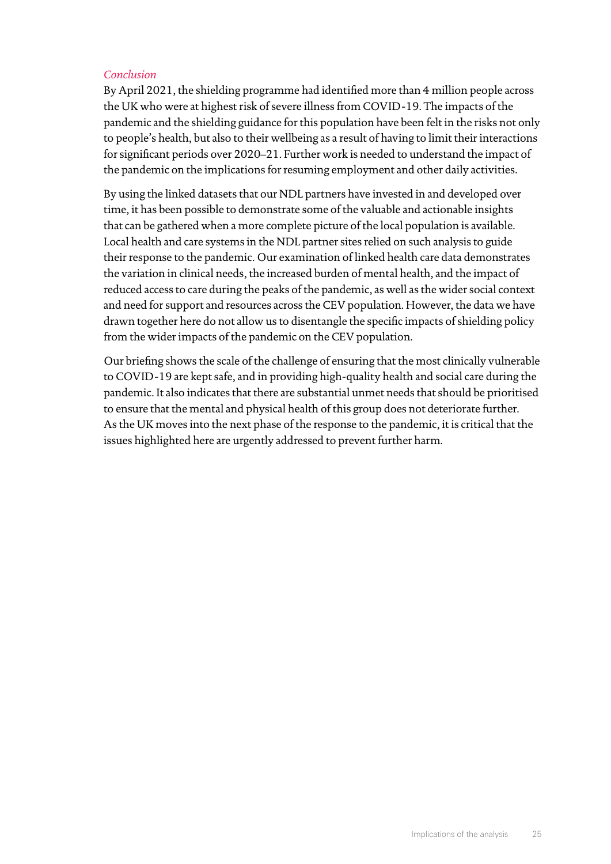# *Conclusion*

By April 2021, the shielding programme had identified more than 4 million people across the UK who were at highest risk of severe illness from COVID-19. The impacts of the pandemic and the shielding guidance for this population have been felt in the risks not only to people's health, but also to their wellbeing as a result of having to limit their interactions for significant periods over 2020–21. Further work is needed to understand the impact of the pandemic on the implications for resuming employment and other daily activities.

By using the linked datasets that our NDL partners have invested in and developed over time, it has been possible to demonstrate some of the valuable and actionable insights that can be gathered when a more complete picture of the local population is available. Local health and care systems in the NDL partner sites relied on such analysis to guide their response to the pandemic. Our examination of linked health care data demonstrates the variation in clinical needs, the increased burden of mental health, and the impact of reduced access to care during the peaks of the pandemic, as well as the wider social context and need for support and resources across the CEV population. However, the data we have drawn together here do not allow us to disentangle the specific impacts of shielding policy from the wider impacts of the pandemic on the CEV population.

Our briefing shows the scale of the challenge of ensuring that the most clinically vulnerable to COVID-19 are kept safe, and in providing high-quality health and social care during the pandemic. It also indicates that there are substantial unmet needs that should be prioritised to ensure that the mental and physical health of this group does not deteriorate further. As the UK moves into the next phase of the response to the pandemic, it is critical that the issues highlighted here are urgently addressed to prevent further harm.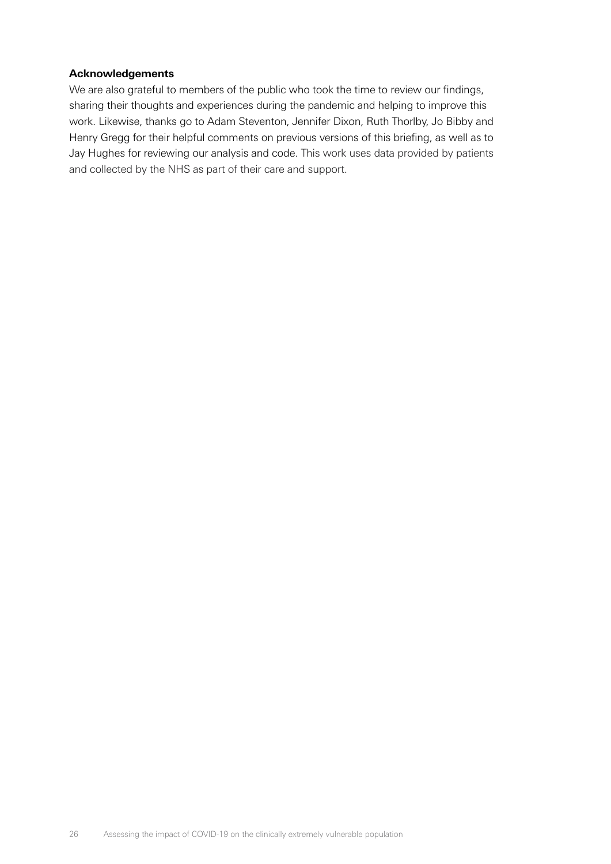#### **Acknowledgements**

We are also grateful to members of the public who took the time to review our findings, sharing their thoughts and experiences during the pandemic and helping to improve this work. Likewise, thanks go to Adam Steventon, Jennifer Dixon, Ruth Thorlby, Jo Bibby and Henry Gregg for their helpful comments on previous versions of this briefing, as well as to Jay Hughes for reviewing our analysis and code. This work uses data provided by patients and collected by the NHS as part of their care and support.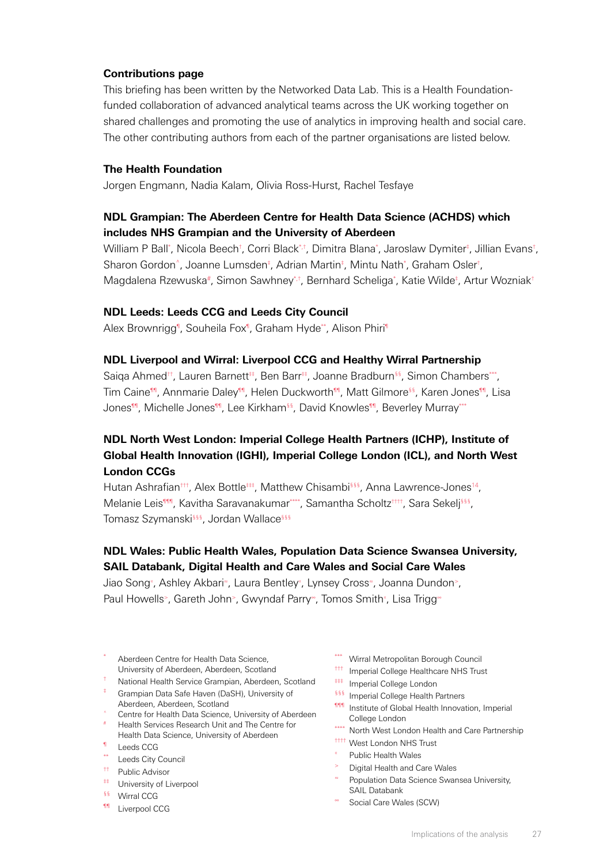#### <span id="page-26-0"></span>**Contributions page**

This briefing has been written by the Networked Data Lab. This is a Health Foundationfunded collaboration of advanced analytical teams across the UK working together on shared challenges and promoting the use of analytics in improving health and social care. The other contributing authors from each of the partner organisations are listed below.

#### **The Health Foundation**

Jorgen Engmann, Nadia Kalam, Olivia Ross-Hurst, Rachel Tesfaye

## **NDL Grampian: The Aberdeen Centre for Health Data Science (ACHDS) which includes NHS Grampian and the University of Aberdeen**

William P Ball\*, Nicola Beech<sup>†</sup>, Corri Black\*<sup>+</sup>, Dimitra Blana\*, Jaroslaw Dymiter<sup>‡</sup>, Jillian Evans<sup>†</sup>, Sharon Gordon<sup>^</sup>, Joanne Lumsden<sup>‡</sup>, Adrian Martin<sup>‡</sup>, Mintu Nath<sup>\*</sup>, Graham Osler<sup>†</sup>, Magdalena Rzewuska<sup>#</sup>, Simon Sawhney<sup>\*,†</sup>, Bernhard Scheliga<sup>\*</sup>, Katie Wilde<sup>‡</sup>, Artur Wozniak<sup>+</sup>

#### **NDL Leeds: Leeds CCG and Leeds City Council**

Alex Brownrigg<sup>¶</sup>, Souheila Fox<sup>¶</sup>, Graham Hyde\*\*, Alison Phiri<sup>¶</sup>

#### **NDL Liverpool and Wirral: Liverpool CCG and Healthy Wirral Partnership**

Saiga Ahmed<sup>++</sup>, Lauren Barnett<sup>#</sup>, Ben Barr<sup>#</sup>, Joanne Bradburn<sup>§§</sup>, Simon Chambers\*\*, Tim Caine<sup>¶</sup>, Annmarie Daley<sup>¶</sup>, Helen Duckworth<sup>¶</sup>, Matt Gilmore<sup>§§</sup>, Karen Jones<sup>¶</sup>, Lisa Jones<sup>¶</sup>, Michelle Jones<sup>¶</sup>, Lee Kirkham<sup>§§</sup>, David Knowles<sup>¶</sup>, Beverley Murray\*\*\*

# **NDL North West London: Imperial College Health Partners (ICHP), Institute of Global Health Innovation (IGHI), Imperial College London (ICL), and North West London CCGs**

Hutan Ashrafian<sup>†††</sup>, Alex Bottle<sup>‡‡‡</sup>, Matthew Chisambi<sup>§§§</sup>, Anna Lawrence-Jones<sup>14</sup>, Melanie Leis<sup>¶¶</sup>, Kavitha Saravanakumar\*\*\*, Samantha Scholtz<sup>††††</sup>, Sara Sekelj§§§, Tomasz Szymanski<sup>§§§</sup>, Jordan Wallace<sup>§§§</sup>

# **NDL Wales: Public Health Wales, Population Data Science Swansea University, SAIL Databank, Digital Health and Care Wales and Social Care Wales**

Jiao Song« , Ashley Akbari≈, Laura Bentley« , Lynsey Cross≈, Joanna Dundon>, Paul Howells>, Gareth John>, Gwyndaf Parry®, Tomos Smith®, Lisa Trigg®

- Aberdeen Centre for Health Data Science, University of Aberdeen, Aberdeen, Scotland
- † National Health Service Grampian, Aberdeen, Scotland
- ‡ Grampian Data Safe Haven (DaSH), University of Aberdeen, Aberdeen, Scotland
- ^ Centre for Health Data Science, University of Aberdeen
- # Health Services Research Unit and The Centre for Health Data Science, University of Aberdeen
- ¶ Leeds CCG
- \*\* Leeds City Council
- †† Public Advisor
- ‡‡ University of Liverpool
- §§ Wirral CCG
- **11** Liverpool CCG
- \*\*\* Wirral Metropolitan Borough Council
- ††† Imperial College Healthcare NHS Trust
- ‡‡‡ Imperial College London
- **§§§** Imperial College Health Partners
- **111** Institute of Global Health Innovation, Imperial College London
- \*\*\*\* North West London Health and Care Partnership
- †††† West London NHS Trust
- **Public Health Wales**
- <sup>&</sup>gt; Digital Health and Care Wales
- <sup>≈</sup> Population Data Science Swansea University, SAIL Databank
- <sup>∞</sup> Social Care Wales (SCW)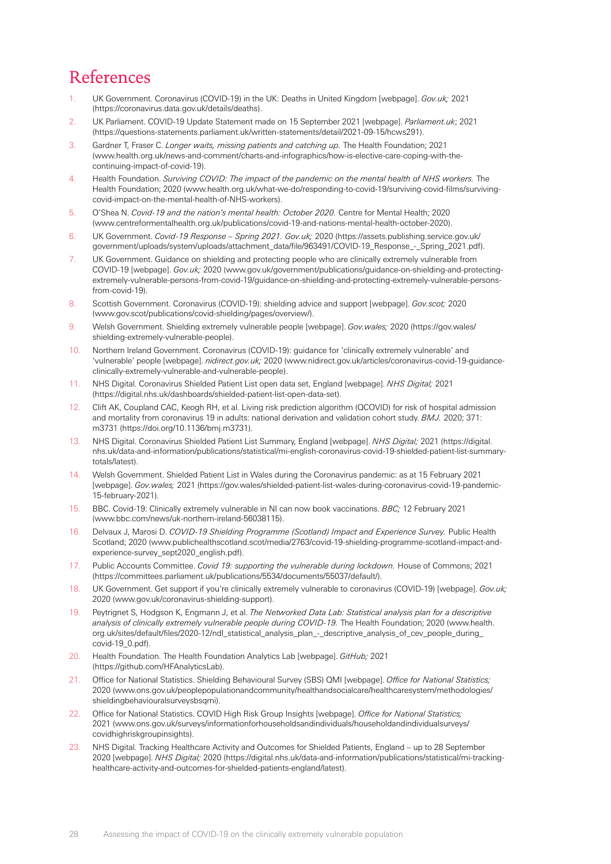# References

- <span id="page-27-0"></span>1. UK Government. Coronavirus (COVID-19) in the UK: Deaths in United Kingdom [webpage]. *Gov.uk;* 2021 [\(https://coronavirus.data.gov.uk/details/deaths](https://coronavirus.data.gov.uk/details/deaths)).
- <span id="page-27-1"></span>2. UK Parliament. COVID-19 Update Statement made on 15 September 2021 [webpage]. *Parliament.uk*; 2021 [\(https://questions-statements.parliament.uk/written-statements/detail/2021-09-15/hcws291](https://questions-statements.parliament.uk/written-statements/detail/2021-09-15/hcws291)).
- <span id="page-27-2"></span>3. Gardner T, Fraser C. *Longer waits, missing patients and catching up.* The Health Foundation; 2021 ([www.health.org.uk/news-and-comment/charts-and-infographics/how-is-elective-care-coping-with-the](https://www.health.org.uk/news-and-comment/charts-and-infographics/how-is-elective-care-coping-with-the-continuing-impact-of-covid-19)[continuing-impact-of-covid-19](https://www.health.org.uk/news-and-comment/charts-and-infographics/how-is-elective-care-coping-with-the-continuing-impact-of-covid-19)).
- <span id="page-27-3"></span>4. Health Foundation. *Surviving COVID: The impact of the pandemic on the mental health of NHS workers.* The Health Foundation; 2020 ([www.health.org.uk/what-we-do/responding-to-covid-19/surviving-covid-films/surviving](https://www.health.org.uk/what-we-do/responding-to-covid-19/surviving-covid-films/surviving-covid-impact-on-the-mental-health-of-NHS-workers)[covid-impact-on-the-mental-health-of-NHS-workers\)](https://www.health.org.uk/what-we-do/responding-to-covid-19/surviving-covid-films/surviving-covid-impact-on-the-mental-health-of-NHS-workers).
- <span id="page-27-4"></span>5. O'Shea N. *Covid-19 and the nation's mental health: October 2020.* Centre for Mental Health; 2020 ([www.centreformentalhealth.org.uk/publications/covid-19-and-nations-mental-health-october-2020](https://www.centreformentalhealth.org.uk/publications/covid-19-and-nations-mental-health-october-2020)).
- <span id="page-27-5"></span>6. UK Government. *Covid-19 Response – Spring 2021. Gov.uk;* 2020 [\(https://assets.publishing.service.gov.uk/](https://assets.publishing.service.gov.uk/government/uploads/system/uploads/attachment_data/file/963491/COVID-19_Response_-_Spring_2021.pdf) [government/uploads/system/uploads/attachment\\_data/file/963491/COVID-19\\_Response\\_-\\_Spring\\_2021.pdf](https://assets.publishing.service.gov.uk/government/uploads/system/uploads/attachment_data/file/963491/COVID-19_Response_-_Spring_2021.pdf)).
- <span id="page-27-6"></span>7. UK Government. Guidance on shielding and protecting people who are clinically extremely vulnerable from COVID-19 [webpage]. *Gov.uk;* 2020 ([www.gov.uk/government/publications/guidance-on-shielding-and-protecting](https://www.gov.uk/government/publications/guidance-on-shielding-and-protecting-extremely-vulnerable-persons-from-covid-19/guidance-on-shielding-and-protecting-extremely-vulnerable-persons-from-covid-19)[extremely-vulnerable-persons-from-covid-19/guidance-on-shielding-and-protecting-extremely-vulnerable-persons](https://www.gov.uk/government/publications/guidance-on-shielding-and-protecting-extremely-vulnerable-persons-from-covid-19/guidance-on-shielding-and-protecting-extremely-vulnerable-persons-from-covid-19)[from-covid-19](https://www.gov.uk/government/publications/guidance-on-shielding-and-protecting-extremely-vulnerable-persons-from-covid-19/guidance-on-shielding-and-protecting-extremely-vulnerable-persons-from-covid-19)).
- <span id="page-27-7"></span>8. Scottish Government. Coronavirus (COVID-19): shielding advice and support [webpage]. *Gov.scot;* 2020 ([www.gov.scot/publications/covid-shielding/pages/overview/](https://www.gov.scot/publications/covid-shielding/pages/overview/)).
- <span id="page-27-8"></span>9. Welsh Government. Shielding extremely vulnerable people [webpage]. *Gov.wales;* 2020 [\(https://gov.wales/](https://gov.wales/shielding-extremely-vulnerable-people) [shielding-extremely-vulnerable-people](https://gov.wales/shielding-extremely-vulnerable-people)).
- <span id="page-27-9"></span>10. Northern Ireland Government. Coronavirus (COVID-19): guidance for 'clinically extremely vulnerable' and 'vulnerable' people [webpage]. *nidirect.gov.uk;* 2020 ([www.nidirect.gov.uk/articles/coronavirus-covid-19-guidance](https://www.nidirect.gov.uk/articles/coronavirus-covid-19-guidance-clinically-extremely-vulnerable-and-vulnerable-people)[clinically-extremely-vulnerable-and-vulnerable-people](https://www.nidirect.gov.uk/articles/coronavirus-covid-19-guidance-clinically-extremely-vulnerable-and-vulnerable-people)).
- <span id="page-27-10"></span>11. NHS Digital. Coronavirus Shielded Patient List open data set, England [webpage]. *NHS Digital;* 2021 [\(https://digital.nhs.uk/dashboards/shielded-patient-list-open-data-set](https://digital.nhs.uk/dashboards/shielded-patient-list-open-data-set)).
- <span id="page-27-11"></span>12. Clift AK, Coupland CAC, Keogh RH, et al. Living risk prediction algorithm (QCOVID) for risk of hospital admission and mortality from coronavirus 19 in adults: national derivation and validation cohort study. *BMJ.* 2020; 371: m3731 [\(https://doi.org/10.1136/bmj.m3731\)](https://doi.org/10.1136/bmj.m3731).
- <span id="page-27-12"></span>13. NHS Digital. Coronavirus Shielded Patient List Summary, England [webpage]. *NHS Digital;* 2021 [\(https://digital.](https://digital.nhs.uk/data-and-information/publications/statistical/mi-english-coronavirus-covid-19-shielded-patient-list-summary-totals/latest) [nhs.uk/data-and-information/publications/statistical/mi-english-coronavirus-covid-19-shielded-patient-list-summary](https://digital.nhs.uk/data-and-information/publications/statistical/mi-english-coronavirus-covid-19-shielded-patient-list-summary-totals/latest)[totals/latest](https://digital.nhs.uk/data-and-information/publications/statistical/mi-english-coronavirus-covid-19-shielded-patient-list-summary-totals/latest)).
- <span id="page-27-13"></span>14. Welsh Government. Shielded Patient List in Wales during the Coronavirus pandemic: as at 15 February 2021 [webpage]. *Gov.wales;* 2021 ([https://gov.wales/shielded-patient-list-wales-during-coronavirus-covid-19-pandemic-](https://gov.wales/shielded-patient-list-wales-during-coronavirus-covid-19-pandemic-15-february-2021)[15-february-2021\)](https://gov.wales/shielded-patient-list-wales-during-coronavirus-covid-19-pandemic-15-february-2021).
- <span id="page-27-14"></span>15. BBC. Covid-19: Clinically extremely vulnerable in NI can now book vaccinations. *BBC;* 12 February 2021 [\(www.bbc.com/news/uk-northern-ireland-56038115\)](https://www.bbc.com/news/uk-northern-ireland-56038115).
- <span id="page-27-15"></span>16. Delvaux J, Marosi D. *COVID-19 Shielding Programme (Scotland) Impact and Experience Survey.* Public Health Scotland; 2020 [\(www.publichealthscotland.scot/media/2763/covid-19-shielding-programme-scotland-impact-and](https://www.publichealthscotland.scot/media/2763/covid-19-shielding-programme-scotland-impact-and-experience-survey_sept2020_english.pdf)[experience-survey\\_sept2020\\_english.pdf](https://www.publichealthscotland.scot/media/2763/covid-19-shielding-programme-scotland-impact-and-experience-survey_sept2020_english.pdf)).
- <span id="page-27-16"></span>17. Public Accounts Committee. *Covid 19: supporting the vulnerable during lockdown.* House of Commons; 2021 [\(https://committees.parliament.uk/publications/5534/documents/55037/default/](https://committees.parliament.uk/publications/5534/documents/55037/default/)).
- <span id="page-27-17"></span>18. UK Government. Get support if you're clinically extremely vulnerable to coronavirus (COVID-19) [webpage]. *Gov.uk;*  2020 ([www.gov.uk/coronavirus-shielding-support](https://www.gov.uk/coronavirus-shielding-support)).
- <span id="page-27-18"></span>19. Peytrignet S, Hodgson K, Engmann J, et al. *The Networked Data Lab: Statistical analysis plan for a descriptive analysis of clinically extremely vulnerable people during COVID-19.* The Health Foundation; 2020 ([www.health.](https://www.health.org.uk/sites/default/files/2020-12/ndl_statistical_analysis_plan_-_descriptive_analysis_of_cev_people_during_covid-19_0.pdf) [org.uk/sites/default/files/2020-12/ndl\\_statistical\\_analysis\\_plan\\_-\\_descriptive\\_analysis\\_of\\_cev\\_people\\_during\\_](https://www.health.org.uk/sites/default/files/2020-12/ndl_statistical_analysis_plan_-_descriptive_analysis_of_cev_people_during_covid-19_0.pdf) [covid-19\\_0.pdf](https://www.health.org.uk/sites/default/files/2020-12/ndl_statistical_analysis_plan_-_descriptive_analysis_of_cev_people_during_covid-19_0.pdf)).
- <span id="page-27-19"></span>20. Health Foundation. The Health Foundation Analytics Lab [webpage]. *GitHub;* 2021 [\(https://github.com/HFAnalyticsLab](https://github.com/HFAnalyticsLab)).
- <span id="page-27-20"></span>21. Office for National Statistics. Shielding Behavioural Survey (SBS) QMI [webpage]. *Office for National Statistics;* 2020 ([www.ons.gov.uk/peoplepopulationandcommunity/healthandsocialcare/healthcaresystem/methodologies/](https://www.ons.gov.uk/peoplepopulationandcommunity/healthandsocialcare/healthcaresystem/methodologies/shieldingbehaviouralsurveysbsqmi) [shieldingbehaviouralsurveysbsqmi](https://www.ons.gov.uk/peoplepopulationandcommunity/healthandsocialcare/healthcaresystem/methodologies/shieldingbehaviouralsurveysbsqmi)).
- <span id="page-27-21"></span>22. Office for National Statistics. COVID High Risk Group Insights [webpage]. *Office for National Statistics;*  2021 ([www.ons.gov.uk/surveys/informationforhouseholdsandindividuals/householdandindividualsurveys/](https://www.ons.gov.uk/surveys/informationforhouseholdsandindividuals/householdandindividualsurveys/covidhighriskgroupinsights) [covidhighriskgroupinsights](https://www.ons.gov.uk/surveys/informationforhouseholdsandindividuals/householdandindividualsurveys/covidhighriskgroupinsights)).
- <span id="page-27-22"></span>23. NHS Digital. Tracking Healthcare Activity and Outcomes for Shielded Patients, England – up to 28 September 2020 [webpage]. *NHS Digital;* 2020 [\(https://digital.nhs.uk/data-and-information/publications/statistical/mi-tracking](https://digital.nhs.uk/data-and-information/publications/statistical/mi-tracking-healthcare-activity-and-outcomes-for-shielded-patients-england/latest)[healthcare-activity-and-outcomes-for-shielded-patients-england/latest](https://digital.nhs.uk/data-and-information/publications/statistical/mi-tracking-healthcare-activity-and-outcomes-for-shielded-patients-england/latest)).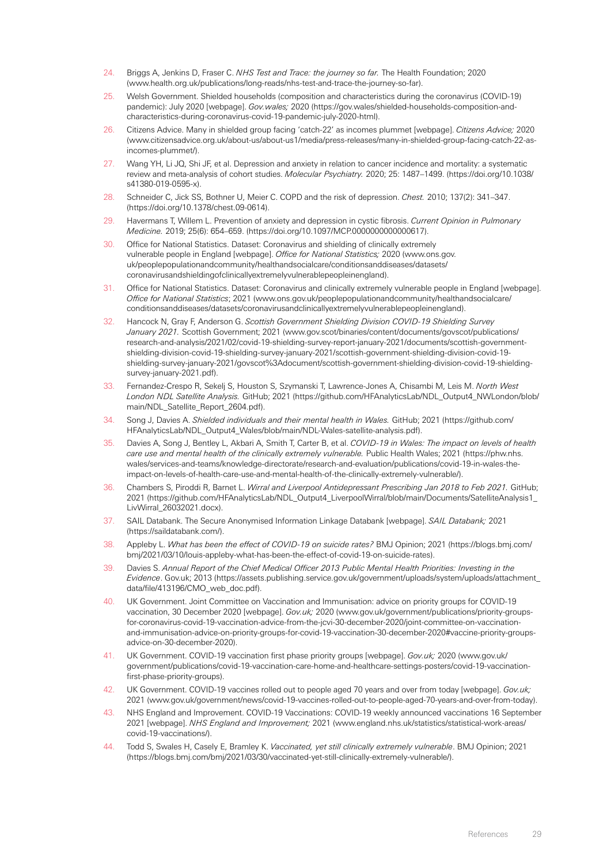- <span id="page-28-0"></span>24. Briggs A, Jenkins D, Fraser C. *NHS Test and Trace: the journey so far.* The Health Foundation; 2020 ([www.health.org.uk/publications/long-reads/nhs-test-and-trace-the-journey-so-far\)](https://www.health.org.uk/publications/long-reads/nhs-test-and-trace-the-journey-so-far).
- <span id="page-28-1"></span>25. Welsh Government. Shielded households (composition and characteristics during the coronavirus (COVID-19) pandemic): July 2020 [webpage]. *Gov.wales;* 2020 ([https://gov.wales/shielded-households-composition-and](https://gov.wales/shielded-households-composition-and-characteristics-during-coronavirus-covid-19-pandemic-july-2020-html)[characteristics-during-coronavirus-covid-19-pandemic-july-2020-html](https://gov.wales/shielded-households-composition-and-characteristics-during-coronavirus-covid-19-pandemic-july-2020-html)).
- <span id="page-28-2"></span>26. Citizens Advice. Many in shielded group facing 'catch-22' as incomes plummet [webpage]. *Citizens Advice;* 2020 ([www.citizensadvice.org.uk/about-us/about-us1/media/press-releases/many-in-shielded-group-facing-catch-22-as](https://www.citizensadvice.org.uk/about-us/about-us1/media/press-releases/many-in-shielded-group-facing-catch-22-as-incomes-plummet/)[incomes-plummet/](https://www.citizensadvice.org.uk/about-us/about-us1/media/press-releases/many-in-shielded-group-facing-catch-22-as-incomes-plummet/)).
- <span id="page-28-3"></span>27. Wang YH, Li JQ, Shi JF, et al. Depression and anxiety in relation to cancer incidence and mortality: a systematic review and meta-analysis of cohort studies. *Molecular Psychiatry.* 2020; 25: 1487–1499. ([https://doi.org/10.1038/](https://doi.org/10.1038/s41380-019-0595-x) [s41380-019-0595-x](https://doi.org/10.1038/s41380-019-0595-x)).
- <span id="page-28-4"></span>28. Schneider C, Jick SS, Bothner U, Meier C. COPD and the risk of depression. *Chest.* 2010; 137(2): 341–347. (<https://doi.org/10.1378/chest.09-0614>).
- <span id="page-28-5"></span>29. Havermans T, Willem L. Prevention of anxiety and depression in cystic fibrosis. *Current Opinion in Pulmonary Medicine.* 2019; 25(6): 654–659. [\(https://doi.org/10.1097/MCP.0000000000000617\)](https://doi.org/10.1097/MCP.0000000000000617).
- <span id="page-28-6"></span>30. Office for National Statistics. Dataset: Coronavirus and shielding of clinically extremely vulnerable people in England [webpage]. *Office for National Statistics;* 2020 ([www.ons.gov.](https://www.ons.gov.uk/peoplepopulationandcommunity/healthandsocialcare/conditionsanddiseases/datasets/coronavirusandshieldingofclinicallyextremelyvulnerablepeopleinengland) [uk/peoplepopulationandcommunity/healthandsocialcare/conditionsanddiseases/datasets/](https://www.ons.gov.uk/peoplepopulationandcommunity/healthandsocialcare/conditionsanddiseases/datasets/coronavirusandshieldingofclinicallyextremelyvulnerablepeopleinengland) [coronavirusandshieldingofclinicallyextremelyvulnerablepeopleinengland](https://www.ons.gov.uk/peoplepopulationandcommunity/healthandsocialcare/conditionsanddiseases/datasets/coronavirusandshieldingofclinicallyextremelyvulnerablepeopleinengland)).
- <span id="page-28-7"></span>31. Office for National Statistics. Dataset: Coronavirus and clinically extremely vulnerable people in England [webpage]. *Office for National Statistics*; 2021 ([www.ons.gov.uk/peoplepopulationandcommunity/healthandsocialcare/](https://www.ons.gov.uk/peoplepopulationandcommunity/healthandsocialcare/conditionsanddiseases/datasets/coronavirusandclinicallyextremelyvulnerablepeopleinengland) [conditionsanddiseases/datasets/coronavirusandclinicallyextremelyvulnerablepeopleinengland](https://www.ons.gov.uk/peoplepopulationandcommunity/healthandsocialcare/conditionsanddiseases/datasets/coronavirusandclinicallyextremelyvulnerablepeopleinengland)).
- <span id="page-28-8"></span>32. Hancock N, Gray F, Anderson G. *Scottish Government Shielding Division COVID-19 Shielding Survey January 2021.* Scottish Government; 2021 ([www.gov.scot/binaries/content/documents/govscot/publications/](https://www.gov.scot/binaries/content/documents/govscot/publications/research-and-analysis/2021/02/covid-19-shielding-survey-report-january-2021/documents/scottish-government-shielding-division-covid-19-shielding-survey-january-2021/scottish-government-shielding-division-covid-19-shielding-survey-january-2021/govscot%3Adocument/scottish-government-shielding-division-covid-19-shielding-survey-january-2021.pdf) [research-and-analysis/2021/02/covid-19-shielding-survey-report-january-2021/documents/scottish-government](https://www.gov.scot/binaries/content/documents/govscot/publications/research-and-analysis/2021/02/covid-19-shielding-survey-report-january-2021/documents/scottish-government-shielding-division-covid-19-shielding-survey-january-2021/scottish-government-shielding-division-covid-19-shielding-survey-january-2021/govscot%3Adocument/scottish-government-shielding-division-covid-19-shielding-survey-january-2021.pdf)[shielding-division-covid-19-shielding-survey-january-2021/scottish-government-shielding-division-covid-19](https://www.gov.scot/binaries/content/documents/govscot/publications/research-and-analysis/2021/02/covid-19-shielding-survey-report-january-2021/documents/scottish-government-shielding-division-covid-19-shielding-survey-january-2021/scottish-government-shielding-division-covid-19-shielding-survey-january-2021/govscot%3Adocument/scottish-government-shielding-division-covid-19-shielding-survey-january-2021.pdf) [shielding-survey-january-2021/govscot%3Adocument/scottish-government-shielding-division-covid-19-shielding](https://www.gov.scot/binaries/content/documents/govscot/publications/research-and-analysis/2021/02/covid-19-shielding-survey-report-january-2021/documents/scottish-government-shielding-division-covid-19-shielding-survey-january-2021/scottish-government-shielding-division-covid-19-shielding-survey-january-2021/govscot%3Adocument/scottish-government-shielding-division-covid-19-shielding-survey-january-2021.pdf)[survey-january-2021.pdf](https://www.gov.scot/binaries/content/documents/govscot/publications/research-and-analysis/2021/02/covid-19-shielding-survey-report-january-2021/documents/scottish-government-shielding-division-covid-19-shielding-survey-january-2021/scottish-government-shielding-division-covid-19-shielding-survey-january-2021/govscot%3Adocument/scottish-government-shielding-division-covid-19-shielding-survey-january-2021.pdf)).
- <span id="page-28-9"></span>33. Fernandez-Crespo R, Sekelj S, Houston S, Szymanski T, Lawrence-Jones A, Chisambi M, Leis M. *North West London NDL Satellite Analysis.* GitHub; 2021 ([https://github.com/HFAnalyticsLab/NDL\\_Output4\\_NWLondon/blob/](https://github.com/HFAnalyticsLab/NDL_Output4_NWLondon/blob/main/NDL_Satellite_Report_2604.pdf) [main/NDL\\_Satellite\\_Report\\_2604.pdf\)](https://github.com/HFAnalyticsLab/NDL_Output4_NWLondon/blob/main/NDL_Satellite_Report_2604.pdf).
- <span id="page-28-10"></span>34. Song J, Davies A. *Shielded individuals and their mental health in Wales.* GitHub; 2021 [\(https://github.com/](https://github.com/HFAnalyticsLab/NDL_Output4_Wales/blob/main/NDL-Wales-satellite-analysis.pdf) [HFAnalyticsLab/NDL\\_Output4\\_Wales/blob/main/NDL-Wales-satellite-analysis.pdf](https://github.com/HFAnalyticsLab/NDL_Output4_Wales/blob/main/NDL-Wales-satellite-analysis.pdf)).
- <span id="page-28-11"></span>35. Davies A, Song J, Bentley L, Akbari A, Smith T, Carter B, et al. *COVID-19 in Wales: The impact on levels of health care use and mental health of the clinically extremely vulnerable.* Public Health Wales; 2021 [\(https://phw.nhs.](https://phw.nhs.wales/services-and-teams/knowledge-directorate/research-and-evaluation/publications/covid-19-in-wales-the-impact-on-levels-of-health-care-use-and-mental-health-of-the-clinically-extremely-vulnerable/) [wales/services-and-teams/knowledge-directorate/research-and-evaluation/publications/covid-19-in-wales-the](https://phw.nhs.wales/services-and-teams/knowledge-directorate/research-and-evaluation/publications/covid-19-in-wales-the-impact-on-levels-of-health-care-use-and-mental-health-of-the-clinically-extremely-vulnerable/)[impact-on-levels-of-health-care-use-and-mental-health-of-the-clinically-extremely-vulnerable/](https://phw.nhs.wales/services-and-teams/knowledge-directorate/research-and-evaluation/publications/covid-19-in-wales-the-impact-on-levels-of-health-care-use-and-mental-health-of-the-clinically-extremely-vulnerable/)).
- <span id="page-28-12"></span>36. Chambers S, Piroddi R, Barnet L. *Wirral and Liverpool Antidepressant Prescribing Jan 2018 to Feb 2021.* GitHub; 2021 ([https://github.com/HFAnalyticsLab/NDL\\_Output4\\_LiverpoolWirral/blob/main/Documents/SatelliteAnalysis1\\_](https://github.com/HFAnalyticsLab/NDL_Output4_LiverpoolWirral/blob/main/Documents/SatelliteAnalysis1_LivWirral_26032021.docx) [LivWirral\\_26032021.docx](https://github.com/HFAnalyticsLab/NDL_Output4_LiverpoolWirral/blob/main/Documents/SatelliteAnalysis1_LivWirral_26032021.docx)).
- <span id="page-28-13"></span>37. SAIL Databank. The Secure Anonymised Information Linkage Databank [webpage]. *SAIL Databank;* 2021 (<https://saildatabank.com/>).
- <span id="page-28-14"></span>38. Appleby L. *What has been the effect of COVID-19 on suicide rates?* BMJ Opinion; 2021 [\(https://blogs.bmj.com/](https://blogs.bmj.com/bmj/2021/03/10/louis-appleby-what-has-been-the-effect-of-covid-19-on-suicide-rates) [bmj/2021/03/10/louis-appleby-what-has-been-the-effect-of-covid-19-on-suicide-rates](https://blogs.bmj.com/bmj/2021/03/10/louis-appleby-what-has-been-the-effect-of-covid-19-on-suicide-rates)).
- <span id="page-28-15"></span>39. Davies S. *Annual Report of the Chief Medical Officer 2013 Public Mental Health Priorities: Investing in the Evidence*. Gov.uk; 2013 [\(https://assets.publishing.service.gov.uk/government/uploads/system/uploads/attachment\\_](https://assets.publishing.service.gov.uk/government/uploads/system/uploads/attachment_data/file/413196/CMO_web_doc.pdf) [data/file/413196/CMO\\_web\\_doc.pdf\)](https://assets.publishing.service.gov.uk/government/uploads/system/uploads/attachment_data/file/413196/CMO_web_doc.pdf).
- <span id="page-28-16"></span>40. UK Government. Joint Committee on Vaccination and Immunisation: advice on priority groups for COVID-19 vaccination, 30 December 2020 [webpage]. *Gov.uk;* 2020 (www.gov.uk/government/publications/priority-groupsfor-coronavirus-covid-19-vaccination-advice-from-the-jcvi-30-december-2020/joint-committee-on-vaccinationand-immunisation-advice-on-priority-groups-for-covid-19-vaccination-30-december-2020#vaccine-priority-groupsadvice-on-30-december-2020).
- <span id="page-28-17"></span>41. UK Government. COVID-19 vaccination first phase priority groups [webpage]. *Gov.uk;* 2020 ([www.gov.uk/](https://www.gov.uk/government/publications/covid-19-vaccination-care-home-and-healthcare-settings-posters/covid-19-vaccination-first-phase-priority-groups) [government/publications/covid-19-vaccination-care-home-and-healthcare-settings-posters/covid-19-vaccination](https://www.gov.uk/government/publications/covid-19-vaccination-care-home-and-healthcare-settings-posters/covid-19-vaccination-first-phase-priority-groups)[first-phase-priority-groups](https://www.gov.uk/government/publications/covid-19-vaccination-care-home-and-healthcare-settings-posters/covid-19-vaccination-first-phase-priority-groups)).
- <span id="page-28-18"></span>42. UK Government. COVID-19 vaccines rolled out to people aged 70 years and over from today [webpage]. *Gov.uk;* 2021 ([www.gov.uk/government/news/covid-19-vaccines-rolled-out-to-people-aged-70-years-and-over-from-today\)](https://www.gov.uk/government/news/covid-19-vaccines-rolled-out-to-people-aged-70-years-and-over-from-today).
- <span id="page-28-19"></span>43. NHS England and Improvement. COVID-19 Vaccinations: COVID-19 weekly announced vaccinations 16 September 2021 [webpage]. *NHS England and Improvement;* 2021 ([www.england.nhs.uk/statistics/statistical-work-areas/](https://www.england.nhs.uk/statistics/statistical-work-areas/covid-19-vaccinations/) [covid-19-vaccinations/](https://www.england.nhs.uk/statistics/statistical-work-areas/covid-19-vaccinations/)).
- <span id="page-28-20"></span>44. Todd S, Swales H, Casely E, Bramley K. *Vaccinated, yet still clinically extremely vulnerable*. BMJ Opinion; 2021 (<https://blogs.bmj.com/bmj/2021/03/30/vaccinated-yet-still-clinically-extremely-vulnerable/>).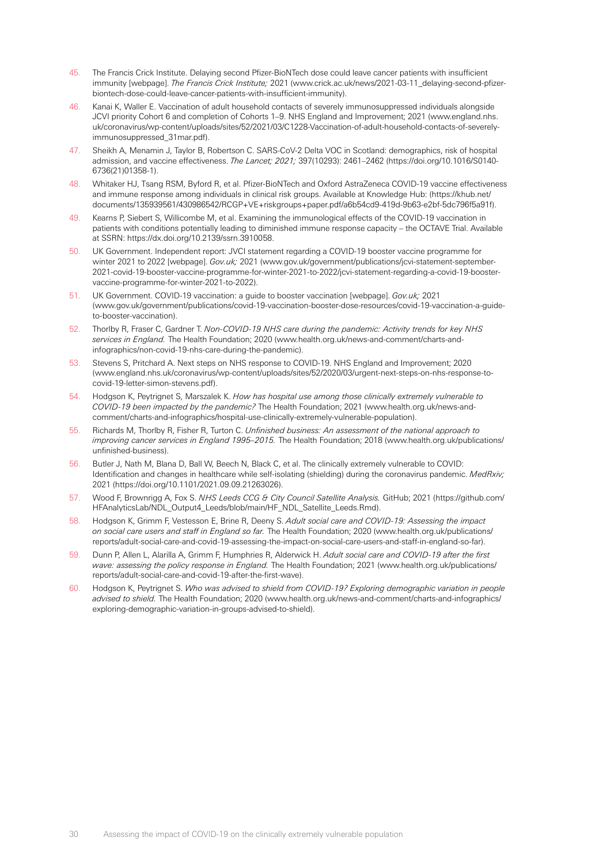- <span id="page-29-0"></span>45. The Francis Crick Institute. Delaying second Pfizer-BioNTech dose could leave cancer patients with insufficient immunity [webpage]. *The Francis Crick Institute;* 2021 ([www.crick.ac.uk/news/2021-03-11\\_delaying-second-pfizer](https://www.crick.ac.uk/news/2021-03-11_delaying-second-pfizer-biontech-dose-could-leave-cancer-patients-with-insufficient-immunity)[biontech-dose-could-leave-cancer-patients-with-insufficient-immunity](https://www.crick.ac.uk/news/2021-03-11_delaying-second-pfizer-biontech-dose-could-leave-cancer-patients-with-insufficient-immunity)).
- <span id="page-29-1"></span>46. Kanai K, Waller E. Vaccination of adult household contacts of severely immunosuppressed individuals alongside JCVI priority Cohort 6 and completion of Cohorts 1–9. NHS England and Improvement; 2021 ([www.england.nhs.](https://www.england.nhs.uk/coronavirus/wp-content/uploads/sites/52/2021/03/C1228-Vaccination-of-adult-household-contacts-of-severely-immunosuppressed_31mar.pdf) [uk/coronavirus/wp-content/uploads/sites/52/2021/03/C1228-Vaccination-of-adult-household-contacts-of-severely](https://www.england.nhs.uk/coronavirus/wp-content/uploads/sites/52/2021/03/C1228-Vaccination-of-adult-household-contacts-of-severely-immunosuppressed_31mar.pdf)[immunosuppressed\\_31mar.pdf](https://www.england.nhs.uk/coronavirus/wp-content/uploads/sites/52/2021/03/C1228-Vaccination-of-adult-household-contacts-of-severely-immunosuppressed_31mar.pdf)).
- <span id="page-29-2"></span>47. Sheikh A, Menamin J, Taylor B, Robertson C. SARS-CoV-2 Delta VOC in Scotland: demographics, risk of hospital admission, and vaccine effectiveness. *The Lancet; 2021;* 397(10293): 2461–2462 ([https://doi.org/10.1016/S0140-](https://doi.org/10.1016/S0140-6736(21)01358-1) [6736\(21\)01358-1](https://doi.org/10.1016/S0140-6736(21)01358-1)).
- <span id="page-29-3"></span>48. Whitaker HJ, Tsang RSM, Byford R, et al. Pfizer-BioNTech and Oxford AstraZeneca COVID-19 vaccine effectiveness and immune response among individuals in clinical risk groups. Available at Knowledge Hub: ([https://khub.net/](https://khub.net/documents/135939561/430986542/RCGP+VE+riskgroups+paper.pdf/a6b54cd9-419d-9b63-e2bf-5dc796f5a91f) [documents/135939561/430986542/RCGP+VE+riskgroups+paper.pdf/a6b54cd9-419d-9b63-e2bf-5dc796f5a91f](https://khub.net/documents/135939561/430986542/RCGP+VE+riskgroups+paper.pdf/a6b54cd9-419d-9b63-e2bf-5dc796f5a91f)).
- <span id="page-29-4"></span>49. Kearns P, Siebert S, Willicombe M, et al. Examining the immunological effects of the COVID-19 vaccination in patients with conditions potentially leading to diminished immune response capacity – the OCTAVE Trial. Available at SSRN:<https://dx.doi.org/10.2139/ssrn.3910058>.
- <span id="page-29-5"></span>50. UK Government. Independent report: JVCI statement regarding a COVID-19 booster vaccine programme for winter 2021 to 2022 [webpage]. *Gov.uk;* 2021 ([www.gov.uk/government/publications/jcvi-statement-september-](https://www.gov.uk/government/publications/jcvi-statement-september-2021-covid-19-booster-vaccine-programme-for-winter-2021-to-2022/jcvi-statement-regarding-a-covid-19-booster-vaccine-programme-for-winter-2021-to-2022)[2021-covid-19-booster-vaccine-programme-for-winter-2021-to-2022/jcvi-statement-regarding-a-covid-19-booster](https://www.gov.uk/government/publications/jcvi-statement-september-2021-covid-19-booster-vaccine-programme-for-winter-2021-to-2022/jcvi-statement-regarding-a-covid-19-booster-vaccine-programme-for-winter-2021-to-2022)[vaccine-programme-for-winter-2021-to-2022](https://www.gov.uk/government/publications/jcvi-statement-september-2021-covid-19-booster-vaccine-programme-for-winter-2021-to-2022/jcvi-statement-regarding-a-covid-19-booster-vaccine-programme-for-winter-2021-to-2022)).
- <span id="page-29-6"></span>51. UK Government. COVID-19 vaccination: a guide to booster vaccination [webpage]. *Gov.uk;* 2021 ([www.gov.uk/government/publications/covid-19-vaccination-booster-dose-resources/covid-19-vaccination-a-guide](https://www.gov.uk/government/publications/covid-19-vaccination-booster-dose-resources/covid-19-vaccination-a-guide-to-booster-vaccination)[to-booster-vaccination](https://www.gov.uk/government/publications/covid-19-vaccination-booster-dose-resources/covid-19-vaccination-a-guide-to-booster-vaccination)).
- <span id="page-29-7"></span>52. Thorlby R, Fraser C, Gardner T. *Non-COVID-19 NHS care during the pandemic: Activity trends for key NHS services in England.* The Health Foundation; 2020 ([www.health.org.uk/news-and-comment/charts-and](https://www.health.org.uk/news-and-comment/charts-and-infographics/non-covid-19-nhs-care-during-the-pandemic)[infographics/non-covid-19-nhs-care-during-the-pandemic](https://www.health.org.uk/news-and-comment/charts-and-infographics/non-covid-19-nhs-care-during-the-pandemic)).
- <span id="page-29-8"></span>53. Stevens S, Pritchard A. Next steps on NHS response to COVID-19. NHS England and Improvement; 2020 (www.england.nhs.uk[/coronavirus/wp-content/uploads/sites/52/2020/03/urgent-next-steps-on-nhs-response-to](https://www.england.nhs.uk/coronavirus/wp-content/uploads/sites/52/2020/03/urgent-next-steps-on-nhs-response-to-covid-19-letter-simon-stevens.pdf)[covid-19-letter-simon-stevens.pdf](https://www.england.nhs.uk/coronavirus/wp-content/uploads/sites/52/2020/03/urgent-next-steps-on-nhs-response-to-covid-19-letter-simon-stevens.pdf)).
- <span id="page-29-9"></span>54. Hodgson K, Peytrignet S, Marszalek K. *How has hospital use among those clinically extremely vulnerable to COVID-19 been impacted by the pandemic?* The Health Foundation; 2021 ([www.health.org.uk/news-and](https://www.health.org.uk/news-and-comment/charts-and-infographics/hospital-use-clinically-extremely-vulnerable-population)[comment/charts-and-infographics/hospital-use-clinically-extremely-vulnerable-population](https://www.health.org.uk/news-and-comment/charts-and-infographics/hospital-use-clinically-extremely-vulnerable-population)).
- <span id="page-29-10"></span>55. Richards M, Thorlby R, Fisher R, Turton C. *Unfinished business: An assessment of the national approach to improving cancer services in England 1995–2015.* The Health Foundation; 2018 ([www.health.org.uk/publications/](https://www.health.org.uk/publications/unfinished-business) [unfinished-business](https://www.health.org.uk/publications/unfinished-business)).
- <span id="page-29-11"></span>56. Butler J, Nath M, Blana D, Ball W, Beech N, Black C, et al. The clinically extremely vulnerable to COVID: Identification and changes in healthcare while self-isolating (shielding) during the coronavirus pandemic. MedRxiv; 2021 [\(https://doi.org/10.1101/2021.09.09.21263026\)](https://doi.org/10.1101/2021.09.09.21263026).
- <span id="page-29-12"></span>57. Wood F, Brownrigg A, Fox S. *NHS Leeds CCG & City Council Satellite Analysis.* GitHub; 2021 [\(https://github.com/](https://github.com/HFAnalyticsLab/NDL_Output4_Leeds/blob/main/HF_NDL_Satellite_Leeds.Rmd) [HFAnalyticsLab/NDL\\_Output4\\_Leeds/blob/main/HF\\_NDL\\_Satellite\\_Leeds.Rmd\)](https://github.com/HFAnalyticsLab/NDL_Output4_Leeds/blob/main/HF_NDL_Satellite_Leeds.Rmd).
- <span id="page-29-13"></span>58. Hodgson K, Grimm F, Vestesson E, Brine R, Deeny S. *Adult social care and COVID-19: Assessing the impact on social care users and staff in England so far.* The Health Foundation; 2020 ([www.health.org.uk/publications/](https://www.health.org.uk/publications/reports/adult-social-care-and-covid-19-assessing-the-impact-on-social-care-users-and-staff-in-england-so-far) [reports/adult-social-care-and-covid-19-assessing-the-impact-on-social-care-users-and-staff-in-england-so-far](https://www.health.org.uk/publications/reports/adult-social-care-and-covid-19-assessing-the-impact-on-social-care-users-and-staff-in-england-so-far)).
- <span id="page-29-14"></span>59. Dunn P, Allen L, Alarilla A, Grimm F, Humphries R, Alderwick H. *Adult social care and COVID-19 after the first wave: assessing the policy response in England.* The Health Foundation; 2021 ([www.health.org.uk/publications/](https://www.health.org.uk/publications/reports/adult-social-care-and-covid-19-after-the-first-wave) [reports/adult-social-care-and-covid-19-after-the-first-wave](https://www.health.org.uk/publications/reports/adult-social-care-and-covid-19-after-the-first-wave)).
- <span id="page-29-15"></span>60. Hodgson K, Peytrignet S. *Who was advised to shield from COVID-19? Exploring demographic variation in people advised to shield.* The Health Foundation; 2020 ([www.health.org.uk/news-and-comment/charts-and-infographics/](https://www.health.org.uk/news-and-comment/charts-and-infographics/exploring-demographic-variation-in-groups-advised-to-shield) [exploring-demographic-variation-in-groups-advised-to-shield](https://www.health.org.uk/news-and-comment/charts-and-infographics/exploring-demographic-variation-in-groups-advised-to-shield)).